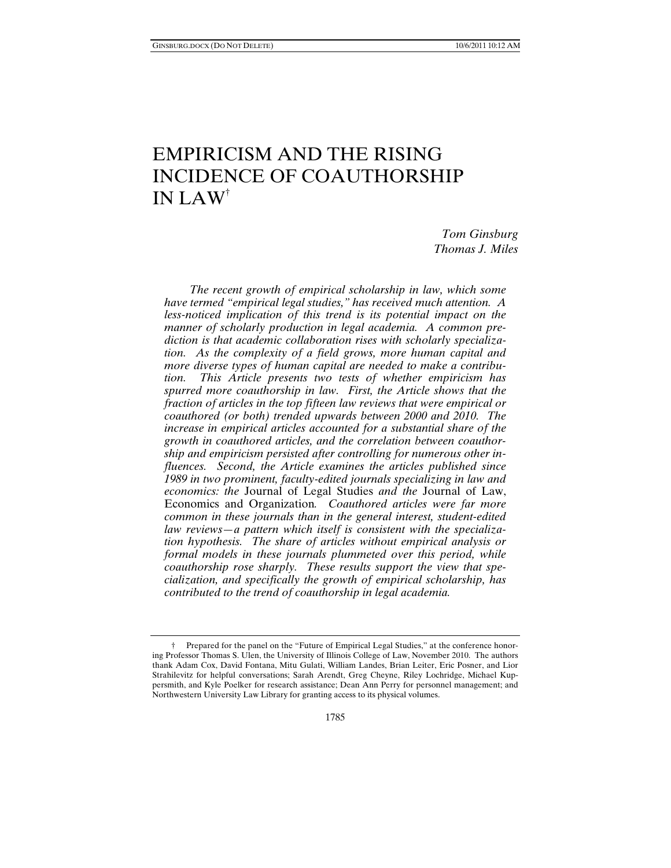# EMPIRICISM AND THE RISING INCIDENCE OF COAUTHORSHIP IN LAW†

*Tom Ginsburg Thomas J. Miles* 

*The recent growth of empirical scholarship in law, which some have termed "empirical legal studies," has received much attention. A less-noticed implication of this trend is its potential impact on the manner of scholarly production in legal academia. A common prediction is that academic collaboration rises with scholarly specialization. As the complexity of a field grows, more human capital and more diverse types of human capital are needed to make a contribution. This Article presents two tests of whether empiricism has spurred more coauthorship in law. First, the Article shows that the fraction of articles in the top fifteen law reviews that were empirical or coauthored (or both) trended upwards between 2000 and 2010. The increase in empirical articles accounted for a substantial share of the growth in coauthored articles, and the correlation between coauthorship and empiricism persisted after controlling for numerous other influences. Second, the Article examines the articles published since 1989 in two prominent, faculty-edited journals specializing in law and economics: the* Journal of Legal Studies *and the* Journal of Law, Economics and Organization*. Coauthored articles were far more common in these journals than in the general interest, student-edited law reviews—a pattern which itself is consistent with the specialization hypothesis. The share of articles without empirical analysis or formal models in these journals plummeted over this period, while coauthorship rose sharply. These results support the view that specialization, and specifically the growth of empirical scholarship, has contributed to the trend of coauthorship in legal academia.* 

 <sup>†</sup> Prepared for the panel on the "Future of Empirical Legal Studies," at the conference honoring Professor Thomas S. Ulen, the University of Illinois College of Law, November 2010. The authors thank Adam Cox, David Fontana, Mitu Gulati, William Landes, Brian Leiter, Eric Posner, and Lior Strahilevitz for helpful conversations; Sarah Arendt, Greg Cheyne, Riley Lochridge, Michael Kuppersmith, and Kyle Poelker for research assistance; Dean Ann Perry for personnel management; and Northwestern University Law Library for granting access to its physical volumes.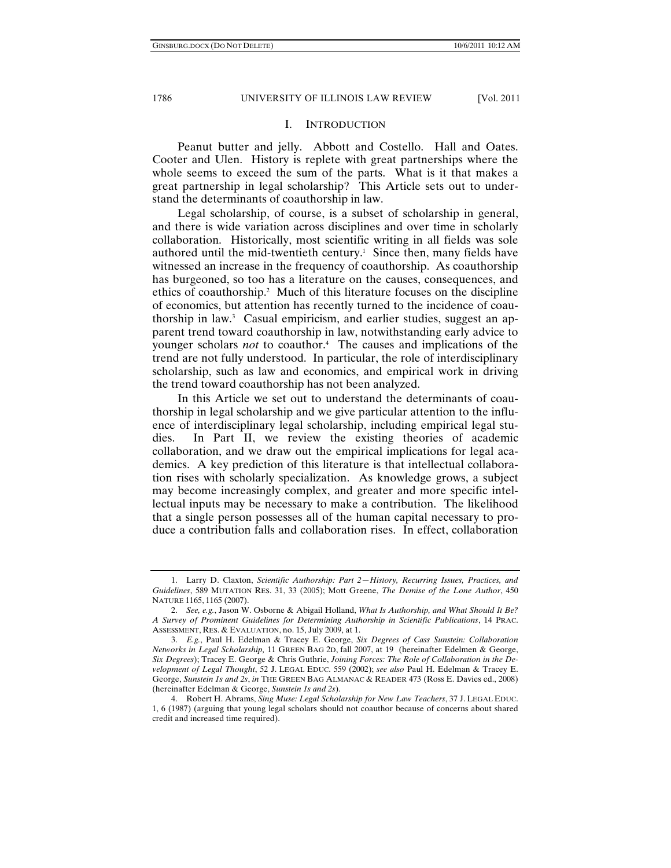#### I. INTRODUCTION

Peanut butter and jelly. Abbott and Costello. Hall and Oates. Cooter and Ulen. History is replete with great partnerships where the whole seems to exceed the sum of the parts. What is it that makes a great partnership in legal scholarship? This Article sets out to understand the determinants of coauthorship in law.

Legal scholarship, of course, is a subset of scholarship in general, and there is wide variation across disciplines and over time in scholarly collaboration. Historically, most scientific writing in all fields was sole authored until the mid-twentieth century.<sup>1</sup> Since then, many fields have witnessed an increase in the frequency of coauthorship. As coauthorship has burgeoned, so too has a literature on the causes, consequences, and ethics of coauthorship.<sup>2</sup> Much of this literature focuses on the discipline of economics, but attention has recently turned to the incidence of coauthorship in law.3 Casual empiricism, and earlier studies, suggest an apparent trend toward coauthorship in law, notwithstanding early advice to younger scholars *not* to coauthor.4 The causes and implications of the trend are not fully understood. In particular, the role of interdisciplinary scholarship, such as law and economics, and empirical work in driving the trend toward coauthorship has not been analyzed.

In this Article we set out to understand the determinants of coauthorship in legal scholarship and we give particular attention to the influence of interdisciplinary legal scholarship, including empirical legal studies. In Part II, we review the existing theories of academic collaboration, and we draw out the empirical implications for legal academics. A key prediction of this literature is that intellectual collaboration rises with scholarly specialization. As knowledge grows, a subject may become increasingly complex, and greater and more specific intellectual inputs may be necessary to make a contribution. The likelihood that a single person possesses all of the human capital necessary to produce a contribution falls and collaboration rises. In effect, collaboration

 <sup>1.</sup> Larry D. Claxton, *Scientific Authorship: Part 2*—*History, Recurring Issues, Practices, and Guidelines*, 589 MUTATION RES. 31, 33 (2005); Mott Greene, *The Demise of the Lone Author*, 450 NATURE 1165, 1165 (2007).

 <sup>2.</sup> *See, e.g.*, Jason W. Osborne & Abigail Holland, *What Is Authorship, and What Should It Be? A Survey of Prominent Guidelines for Determining Authorship in Scientific Publications*, 14 PRAC. ASSESSMENT, RES. & EVALUATION, no. 15, July 2009, at 1.

 <sup>3.</sup> *E.g.*, Paul H. Edelman & Tracey E. George, *Six Degrees of Cass Sunstein: Collaboration Networks in Legal Scholarship,* 11 GREEN BAG 2D, fall 2007, at 19 (hereinafter Edelmen & George, *Six Degrees*); Tracey E. George & Chris Guthrie, *Joining Forces: The Role of Collaboration in the Development of Legal Thought*, 52 J. LEGAL EDUC. 559 (2002); *see also* Paul H. Edelman & Tracey E. George, *Sunstein 1s and 2s*, *in* THE GREEN BAG ALMANAC & READER 473 (Ross E. Davies ed., 2008) (hereinafter Edelman & George, *Sunstein 1s and 2s*).

 <sup>4.</sup> Robert H. Abrams, *Sing Muse: Legal Scholarship for New Law Teachers*, 37 J. LEGAL EDUC. 1, 6 (1987) (arguing that young legal scholars should not coauthor because of concerns about shared credit and increased time required).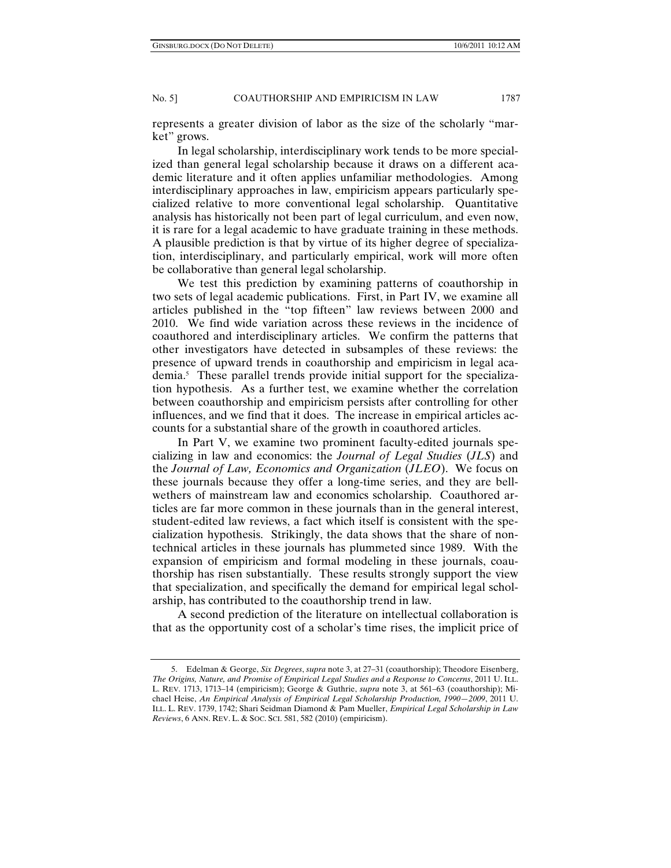represents a greater division of labor as the size of the scholarly "market" grows.

In legal scholarship, interdisciplinary work tends to be more specialized than general legal scholarship because it draws on a different academic literature and it often applies unfamiliar methodologies. Among interdisciplinary approaches in law, empiricism appears particularly specialized relative to more conventional legal scholarship. Quantitative analysis has historically not been part of legal curriculum, and even now, it is rare for a legal academic to have graduate training in these methods. A plausible prediction is that by virtue of its higher degree of specialization, interdisciplinary, and particularly empirical, work will more often be collaborative than general legal scholarship.

We test this prediction by examining patterns of coauthorship in two sets of legal academic publications. First, in Part IV, we examine all articles published in the "top fifteen" law reviews between 2000 and 2010. We find wide variation across these reviews in the incidence of coauthored and interdisciplinary articles. We confirm the patterns that other investigators have detected in subsamples of these reviews: the presence of upward trends in coauthorship and empiricism in legal academia.5 These parallel trends provide initial support for the specialization hypothesis. As a further test, we examine whether the correlation between coauthorship and empiricism persists after controlling for other influences, and we find that it does. The increase in empirical articles accounts for a substantial share of the growth in coauthored articles.

In Part V, we examine two prominent faculty-edited journals specializing in law and economics: the *Journal of Legal Studies* (*JLS*) and the *Journal of Law, Economics and Organization* (*JLEO*). We focus on these journals because they offer a long-time series, and they are bellwethers of mainstream law and economics scholarship. Coauthored articles are far more common in these journals than in the general interest, student-edited law reviews, a fact which itself is consistent with the specialization hypothesis. Strikingly, the data shows that the share of nontechnical articles in these journals has plummeted since 1989. With the expansion of empiricism and formal modeling in these journals, coauthorship has risen substantially. These results strongly support the view that specialization, and specifically the demand for empirical legal scholarship, has contributed to the coauthorship trend in law.

A second prediction of the literature on intellectual collaboration is that as the opportunity cost of a scholar's time rises, the implicit price of

 <sup>5.</sup> Edelman & George, *Six Degrees*, *supra* note 3, at 27–31 (coauthorship); Theodore Eisenberg, *The Origins, Nature, and Promise of Empirical Legal Studies and a Response to Concerns*, 2011 U. ILL. L. REV. 1713, 1713–14 (empiricism); George & Guthrie, *supra* note 3, at 561–63 (coauthorship); Michael Heise, *An Empirical Analysis of Empirical Legal Scholarship Production, 1990—2009*, 2011 U. ILL. L. REV. 1739, 1742; Shari Seidman Diamond & Pam Mueller, *Empirical Legal Scholarship in Law Reviews*, 6 ANN. REV. L. & SOC. SCI. 581, 582 (2010) (empiricism).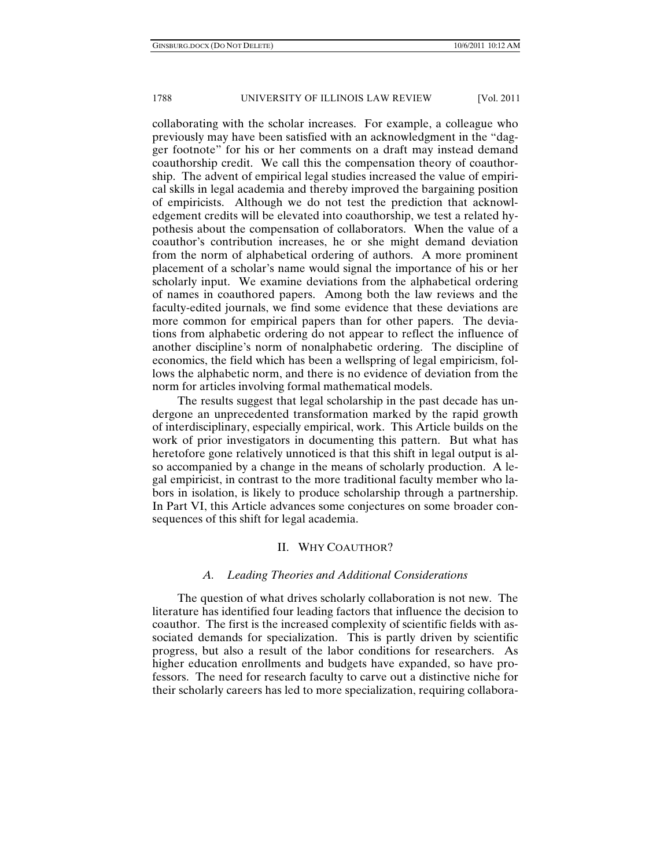collaborating with the scholar increases. For example, a colleague who previously may have been satisfied with an acknowledgment in the "dagger footnote" for his or her comments on a draft may instead demand coauthorship credit. We call this the compensation theory of coauthorship. The advent of empirical legal studies increased the value of empirical skills in legal academia and thereby improved the bargaining position of empiricists. Although we do not test the prediction that acknowledgement credits will be elevated into coauthorship, we test a related hypothesis about the compensation of collaborators. When the value of a coauthor's contribution increases, he or she might demand deviation from the norm of alphabetical ordering of authors. A more prominent placement of a scholar's name would signal the importance of his or her scholarly input. We examine deviations from the alphabetical ordering of names in coauthored papers. Among both the law reviews and the faculty-edited journals, we find some evidence that these deviations are more common for empirical papers than for other papers. The deviations from alphabetic ordering do not appear to reflect the influence of another discipline's norm of nonalphabetic ordering. The discipline of economics, the field which has been a wellspring of legal empiricism, follows the alphabetic norm, and there is no evidence of deviation from the norm for articles involving formal mathematical models.

The results suggest that legal scholarship in the past decade has undergone an unprecedented transformation marked by the rapid growth of interdisciplinary, especially empirical, work. This Article builds on the work of prior investigators in documenting this pattern. But what has heretofore gone relatively unnoticed is that this shift in legal output is also accompanied by a change in the means of scholarly production. A legal empiricist, in contrast to the more traditional faculty member who labors in isolation, is likely to produce scholarship through a partnership. In Part VI, this Article advances some conjectures on some broader consequences of this shift for legal academia.

## II. WHY COAUTHOR?

#### *A. Leading Theories and Additional Considerations*

The question of what drives scholarly collaboration is not new. The literature has identified four leading factors that influence the decision to coauthor. The first is the increased complexity of scientific fields with associated demands for specialization. This is partly driven by scientific progress, but also a result of the labor conditions for researchers. As higher education enrollments and budgets have expanded, so have professors. The need for research faculty to carve out a distinctive niche for their scholarly careers has led to more specialization, requiring collabora-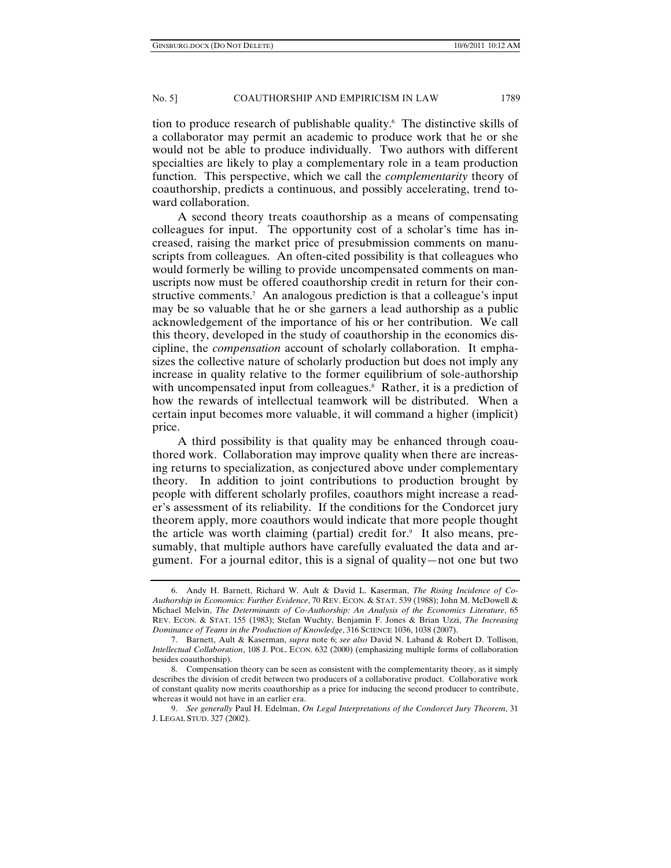tion to produce research of publishable quality.6 The distinctive skills of a collaborator may permit an academic to produce work that he or she would not be able to produce individually. Two authors with different specialties are likely to play a complementary role in a team production function. This perspective, which we call the *complementarity* theory of coauthorship, predicts a continuous, and possibly accelerating, trend toward collaboration.

A second theory treats coauthorship as a means of compensating colleagues for input. The opportunity cost of a scholar's time has increased, raising the market price of presubmission comments on manuscripts from colleagues. An often-cited possibility is that colleagues who would formerly be willing to provide uncompensated comments on manuscripts now must be offered coauthorship credit in return for their constructive comments.<sup>7</sup> An analogous prediction is that a colleague's input may be so valuable that he or she garners a lead authorship as a public acknowledgement of the importance of his or her contribution. We call this theory, developed in the study of coauthorship in the economics discipline, the *compensation* account of scholarly collaboration. It emphasizes the collective nature of scholarly production but does not imply any increase in quality relative to the former equilibrium of sole-authorship with uncompensated input from colleagues.<sup>8</sup> Rather, it is a prediction of how the rewards of intellectual teamwork will be distributed. When a certain input becomes more valuable, it will command a higher (implicit) price.

A third possibility is that quality may be enhanced through coauthored work. Collaboration may improve quality when there are increasing returns to specialization, as conjectured above under complementary theory. In addition to joint contributions to production brought by people with different scholarly profiles, coauthors might increase a reader's assessment of its reliability. If the conditions for the Condorcet jury theorem apply, more coauthors would indicate that more people thought the article was worth claiming (partial) credit for.<sup>9</sup> It also means, presumably, that multiple authors have carefully evaluated the data and argument. For a journal editor, this is a signal of quality—not one but two

 <sup>6.</sup> Andy H. Barnett, Richard W. Ault & David L. Kaserman, *The Rising Incidence of Co-Authorship in Economics: Further Evidence*, 70 REV. ECON. & STAT. 539 (1988); John M. McDowell & Michael Melvin, *The Determinants of Co-Authorship: An Analysis of the Economics Literature*, 65 REV. ECON. & STAT. 155 (1983); Stefan Wuchty, Benjamin F. Jones & Brian Uzzi, *The Increasing Dominance of Teams in the Production of Knowledge*, 316 SCIENCE 1036, 1038 (2007).

 <sup>7.</sup> Barnett, Ault & Kaserman, *supra* note 6; *see also* David N. Laband & Robert D. Tollison, *Intellectual Collaboration*, 108 J. POL. ECON. 632 (2000) (emphasizing multiple forms of collaboration besides coauthorship).

 <sup>8.</sup> Compensation theory can be seen as consistent with the complementarity theory, as it simply describes the division of credit between two producers of a collaborative product. Collaborative work of constant quality now merits coauthorship as a price for inducing the second producer to contribute, whereas it would not have in an earlier era.

 <sup>9.</sup> *See generally* Paul H. Edelman, *On Legal Interpretations of the Condorcet Jury Theorem*, 31 J. LEGAL STUD. 327 (2002).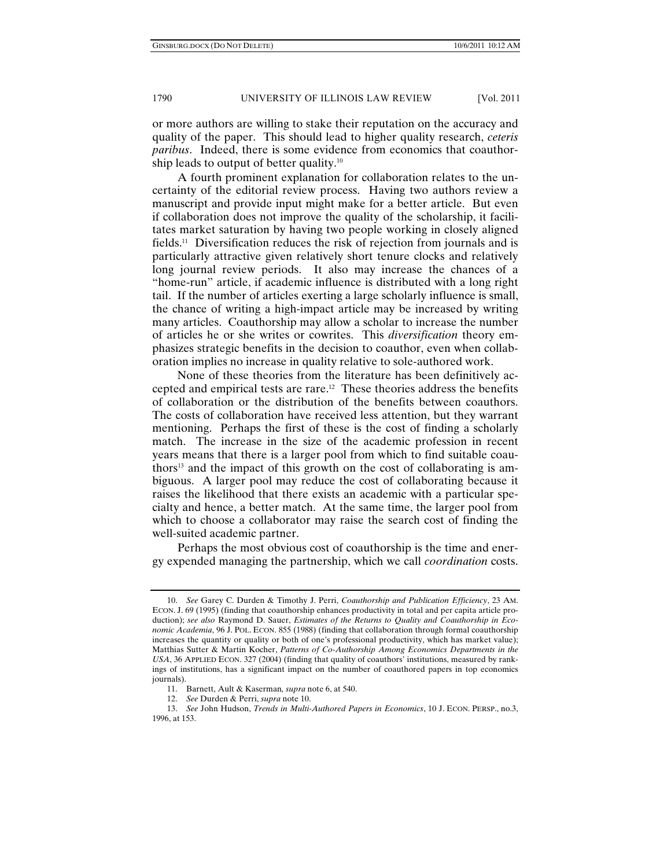or more authors are willing to stake their reputation on the accuracy and quality of the paper. This should lead to higher quality research, *ceteris paribus*. Indeed, there is some evidence from economics that coauthorship leads to output of better quality.10

A fourth prominent explanation for collaboration relates to the uncertainty of the editorial review process. Having two authors review a manuscript and provide input might make for a better article. But even if collaboration does not improve the quality of the scholarship, it facilitates market saturation by having two people working in closely aligned fields.11 Diversification reduces the risk of rejection from journals and is particularly attractive given relatively short tenure clocks and relatively long journal review periods. It also may increase the chances of a "home-run" article, if academic influence is distributed with a long right tail. If the number of articles exerting a large scholarly influence is small, the chance of writing a high-impact article may be increased by writing many articles. Coauthorship may allow a scholar to increase the number of articles he or she writes or cowrites. This *diversification* theory emphasizes strategic benefits in the decision to coauthor, even when collaboration implies no increase in quality relative to sole-authored work.

None of these theories from the literature has been definitively accepted and empirical tests are rare.12 These theories address the benefits of collaboration or the distribution of the benefits between coauthors. The costs of collaboration have received less attention, but they warrant mentioning. Perhaps the first of these is the cost of finding a scholarly match. The increase in the size of the academic profession in recent years means that there is a larger pool from which to find suitable coauthors<sup>13</sup> and the impact of this growth on the cost of collaborating is ambiguous. A larger pool may reduce the cost of collaborating because it raises the likelihood that there exists an academic with a particular specialty and hence, a better match. At the same time, the larger pool from which to choose a collaborator may raise the search cost of finding the well-suited academic partner.

Perhaps the most obvious cost of coauthorship is the time and energy expended managing the partnership, which we call *coordination* costs.

 <sup>10.</sup> *See* Garey C. Durden & Timothy J. Perri, *Coauthorship and Publication Efficiency*, 23 AM. ECON. J. 69 (1995) (finding that coauthorship enhances productivity in total and per capita article production); *see also* Raymond D. Sauer, *Estimates of the Returns to Quality and Coauthorship in Economic Academia*, 96 J. POL. ECON. 855 (1988) (finding that collaboration through formal coauthorship increases the quantity or quality or both of one's professional productivity, which has market value); Matthias Sutter & Martin Kocher, *Patterns of Co-Authorship Among Economics Departments in the USA*, 36 APPLIED ECON. 327 (2004) (finding that quality of coauthors' institutions, measured by rankings of institutions, has a significant impact on the number of coauthored papers in top economics journals).

 <sup>11.</sup> Barnett, Ault & Kaserman*, supra* note 6, at 540.

 <sup>12.</sup> *See* Durden & Perri, *supra* note 10.

 <sup>13.</sup> *See* John Hudson, *Trends in Multi-Authored Papers in Economics*, 10 J. ECON. PERSP., no.3, 1996, at 153.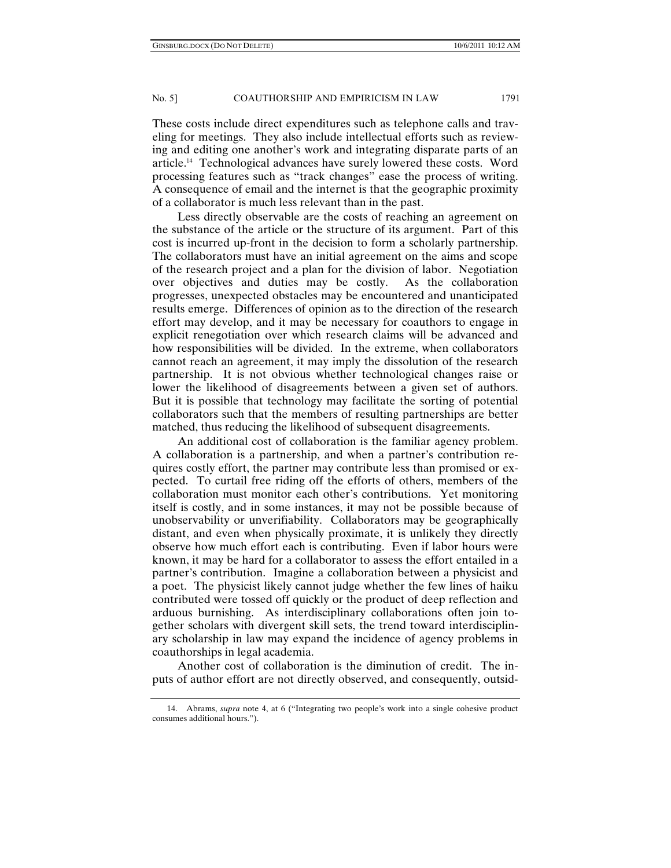These costs include direct expenditures such as telephone calls and traveling for meetings. They also include intellectual efforts such as reviewing and editing one another's work and integrating disparate parts of an article.14 Technological advances have surely lowered these costs. Word processing features such as "track changes" ease the process of writing. A consequence of email and the internet is that the geographic proximity of a collaborator is much less relevant than in the past.

Less directly observable are the costs of reaching an agreement on the substance of the article or the structure of its argument. Part of this cost is incurred up-front in the decision to form a scholarly partnership. The collaborators must have an initial agreement on the aims and scope of the research project and a plan for the division of labor. Negotiation over objectives and duties may be costly. As the collaboration progresses, unexpected obstacles may be encountered and unanticipated results emerge. Differences of opinion as to the direction of the research effort may develop, and it may be necessary for coauthors to engage in explicit renegotiation over which research claims will be advanced and how responsibilities will be divided. In the extreme, when collaborators cannot reach an agreement, it may imply the dissolution of the research partnership. It is not obvious whether technological changes raise or lower the likelihood of disagreements between a given set of authors. But it is possible that technology may facilitate the sorting of potential collaborators such that the members of resulting partnerships are better matched, thus reducing the likelihood of subsequent disagreements.

An additional cost of collaboration is the familiar agency problem. A collaboration is a partnership, and when a partner's contribution requires costly effort, the partner may contribute less than promised or expected. To curtail free riding off the efforts of others, members of the collaboration must monitor each other's contributions. Yet monitoring itself is costly, and in some instances, it may not be possible because of unobservability or unverifiability. Collaborators may be geographically distant, and even when physically proximate, it is unlikely they directly observe how much effort each is contributing. Even if labor hours were known, it may be hard for a collaborator to assess the effort entailed in a partner's contribution. Imagine a collaboration between a physicist and a poet. The physicist likely cannot judge whether the few lines of haiku contributed were tossed off quickly or the product of deep reflection and arduous burnishing. As interdisciplinary collaborations often join together scholars with divergent skill sets, the trend toward interdisciplinary scholarship in law may expand the incidence of agency problems in coauthorships in legal academia.

Another cost of collaboration is the diminution of credit. The inputs of author effort are not directly observed, and consequently, outsid-

 <sup>14.</sup> Abrams, *supra* note 4, at 6 ("Integrating two people's work into a single cohesive product consumes additional hours.").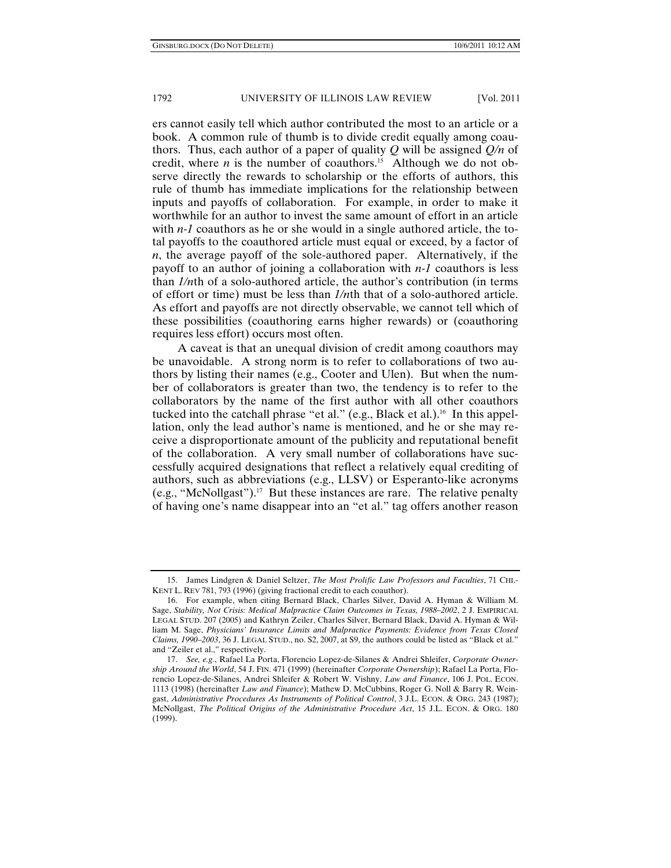ers cannot easily tell which author contributed the most to an article or a book. A common rule of thumb is to divide credit equally among coauthors. Thus, each author of a paper of quality *Q* will be assigned *Q/n* of credit, where *n* is the number of coauthors.<sup>15</sup> Although we do not observe directly the rewards to scholarship or the efforts of authors, this rule of thumb has immediate implications for the relationship between inputs and payoffs of collaboration. For example, in order to make it worthwhile for an author to invest the same amount of effort in an article with *n-1* coauthors as he or she would in a single authored article, the total payoffs to the coauthored article must equal or exceed, by a factor of *n*, the average payoff of the sole-authored paper. Alternatively, if the payoff to an author of joining a collaboration with *n-1* coauthors is less than *1/n*th of a solo-authored article, the author's contribution (in terms of effort or time) must be less than *1/n*th that of a solo-authored article. As effort and payoffs are not directly observable, we cannot tell which of these possibilities (coauthoring earns higher rewards) or (coauthoring requires less effort) occurs most often.

A caveat is that an unequal division of credit among coauthors may be unavoidable. A strong norm is to refer to collaborations of two authors by listing their names (e.g., Cooter and Ulen). But when the number of collaborators is greater than two, the tendency is to refer to the collaborators by the name of the first author with all other coauthors tucked into the catchall phrase "et al." (e.g., Black et al.).<sup>16</sup> In this appellation, only the lead author's name is mentioned, and he or she may receive a disproportionate amount of the publicity and reputational benefit of the collaboration. A very small number of collaborations have successfully acquired designations that reflect a relatively equal crediting of authors, such as abbreviations (e.g., LLSV) or Esperanto-like acronyms (e.g., "McNollgast").17 But these instances are rare. The relative penalty of having one's name disappear into an "et al." tag offers another reason

 <sup>15.</sup> James Lindgren & Daniel Seltzer, *The Most Prolific Law Professors and Faculties*, 71 CHI.- KENT L. REV 781, 793 (1996) (giving fractional credit to each coauthor).

 <sup>16.</sup> For example, when citing Bernard Black, Charles Silver, David A. Hyman & William M. Sage, *Stability, Not Crisis: Medical Malpractice Claim Outcomes in Texas, 1988–2002*, 2 J. EMPIRICAL LEGAL STUD. 207 (2005) and Kathryn Zeiler, Charles Silver, Bernard Black, David A. Hyman & William M. Sage, *Physicians' Insurance Limits and Malpractice Payments: Evidence from Texas Closed Claims, 1990–2003*, 36 J. LEGAL STUD., no. S2, 2007, at S9, the authors could be listed as "Black et al." and "Zeiler et al.," respectively.

 <sup>17.</sup> *See, e.g.*, Rafael La Porta, Florencio Lopez-de-Silanes & Andrei Shleifer, *Corporate Ownership Around the World*, 54 J. FIN. 471 (1999) (hereinafter *Corporate Ownership*); Rafael La Porta, Florencio Lopez-de-Silanes, Andrei Shleifer & Robert W. Vishny, *Law and Finance*, 106 J. POL. ECON. 1113 (1998) (hereinafter *Law and Finance*); Mathew D. McCubbins, Roger G. Noll & Barry R. Weingast, *Administrative Procedures As Instruments of Political Control*, 3 J.L. ECON. & ORG. 243 (1987); McNollgast, *The Political Origins of the Administrative Procedure Act*, 15 J.L. ECON. & ORG. 180 (1999).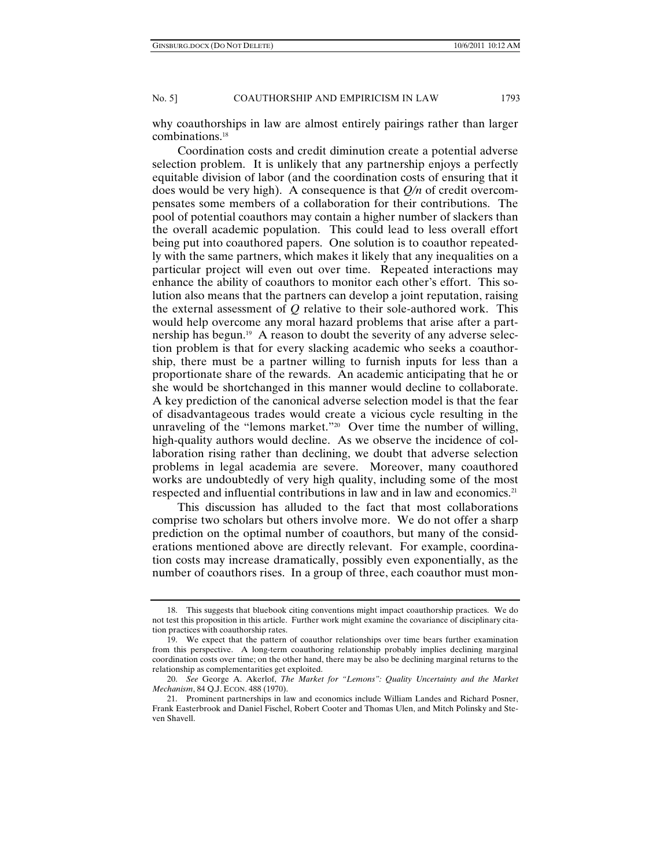why coauthorships in law are almost entirely pairings rather than larger combinations.18

Coordination costs and credit diminution create a potential adverse selection problem. It is unlikely that any partnership enjoys a perfectly equitable division of labor (and the coordination costs of ensuring that it does would be very high). A consequence is that *Q/n* of credit overcompensates some members of a collaboration for their contributions. The pool of potential coauthors may contain a higher number of slackers than the overall academic population. This could lead to less overall effort being put into coauthored papers. One solution is to coauthor repeatedly with the same partners, which makes it likely that any inequalities on a particular project will even out over time. Repeated interactions may enhance the ability of coauthors to monitor each other's effort. This solution also means that the partners can develop a joint reputation, raising the external assessment of *Q* relative to their sole-authored work. This would help overcome any moral hazard problems that arise after a partnership has begun.<sup>19</sup> A reason to doubt the severity of any adverse selection problem is that for every slacking academic who seeks a coauthorship, there must be a partner willing to furnish inputs for less than a proportionate share of the rewards. An academic anticipating that he or she would be shortchanged in this manner would decline to collaborate. A key prediction of the canonical adverse selection model is that the fear of disadvantageous trades would create a vicious cycle resulting in the unraveling of the "lemons market."20 Over time the number of willing, high-quality authors would decline. As we observe the incidence of collaboration rising rather than declining, we doubt that adverse selection problems in legal academia are severe. Moreover, many coauthored works are undoubtedly of very high quality, including some of the most respected and influential contributions in law and in law and economics.<sup>21</sup>

This discussion has alluded to the fact that most collaborations comprise two scholars but others involve more. We do not offer a sharp prediction on the optimal number of coauthors, but many of the considerations mentioned above are directly relevant. For example, coordination costs may increase dramatically, possibly even exponentially, as the number of coauthors rises. In a group of three, each coauthor must mon-

 <sup>18.</sup> This suggests that bluebook citing conventions might impact coauthorship practices. We do not test this proposition in this article. Further work might examine the covariance of disciplinary citation practices with coauthorship rates.

 <sup>19.</sup> We expect that the pattern of coauthor relationships over time bears further examination from this perspective. A long-term coauthoring relationship probably implies declining marginal coordination costs over time; on the other hand, there may be also be declining marginal returns to the relationship as complementarities get exploited.

 <sup>20.</sup> *See* George A. Akerlof, *The Market for "Lemons": Quality Uncertainty and the Market Mechanism*, 84 Q.J. ECON. 488 (1970).

 <sup>21.</sup> Prominent partnerships in law and economics include William Landes and Richard Posner, Frank Easterbrook and Daniel Fischel, Robert Cooter and Thomas Ulen, and Mitch Polinsky and Steven Shavell.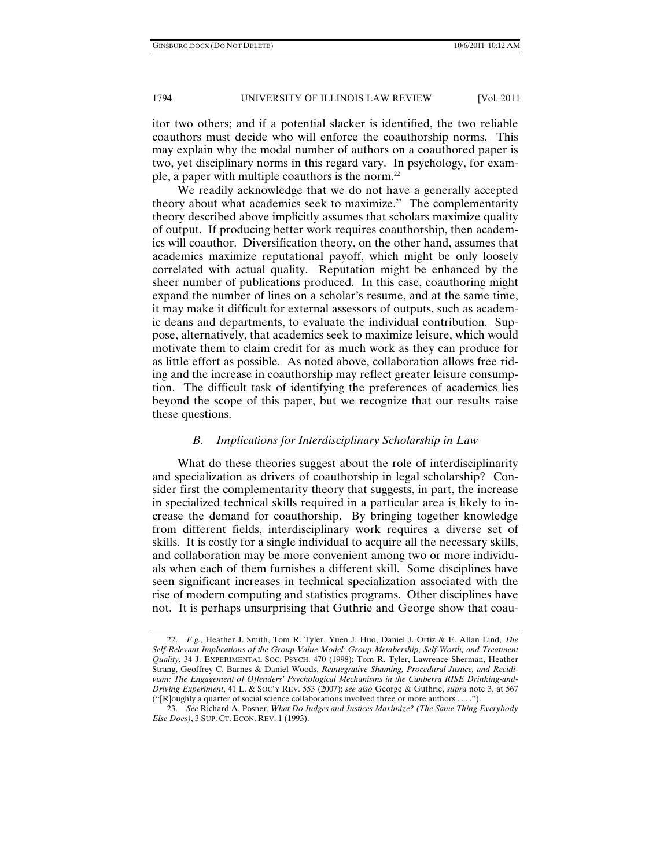itor two others; and if a potential slacker is identified, the two reliable coauthors must decide who will enforce the coauthorship norms. This may explain why the modal number of authors on a coauthored paper is two, yet disciplinary norms in this regard vary. In psychology, for example, a paper with multiple coauthors is the norm.<sup>22</sup>

We readily acknowledge that we do not have a generally accepted theory about what academics seek to maximize.<sup>23</sup> The complementarity theory described above implicitly assumes that scholars maximize quality of output. If producing better work requires coauthorship, then academics will coauthor. Diversification theory, on the other hand, assumes that academics maximize reputational payoff, which might be only loosely correlated with actual quality. Reputation might be enhanced by the sheer number of publications produced. In this case, coauthoring might expand the number of lines on a scholar's resume, and at the same time, it may make it difficult for external assessors of outputs, such as academic deans and departments, to evaluate the individual contribution. Suppose, alternatively, that academics seek to maximize leisure, which would motivate them to claim credit for as much work as they can produce for as little effort as possible. As noted above, collaboration allows free riding and the increase in coauthorship may reflect greater leisure consumption. The difficult task of identifying the preferences of academics lies beyond the scope of this paper, but we recognize that our results raise these questions.

## *B. Implications for Interdisciplinary Scholarship in Law*

What do these theories suggest about the role of interdisciplinarity and specialization as drivers of coauthorship in legal scholarship? Consider first the complementarity theory that suggests, in part, the increase in specialized technical skills required in a particular area is likely to increase the demand for coauthorship. By bringing together knowledge from different fields, interdisciplinary work requires a diverse set of skills. It is costly for a single individual to acquire all the necessary skills, and collaboration may be more convenient among two or more individuals when each of them furnishes a different skill. Some disciplines have seen significant increases in technical specialization associated with the rise of modern computing and statistics programs. Other disciplines have not. It is perhaps unsurprising that Guthrie and George show that coau-

 <sup>22.</sup> *E.g.*, Heather J. Smith, Tom R. Tyler, Yuen J. Huo, Daniel J. Ortiz & E. Allan Lind, *The*  Self-Relevant Implications of the Group-Value Model: Group Membership, Self-Worth, and Treatment *Quality*, 34 J. EXPERIMENTAL SOC. PSYCH. 470 (1998); Tom R. Tyler, Lawrence Sherman, Heather Strang, Geoffrey C. Barnes & Daniel Woods, *Reintegrative Shaming, Procedural Justice, and Recidivism: The Engagement of Offenders' Psychological Mechanisms in the Canberra RISE Drinking-and-Driving Experiment*, 41 L. & SOC'Y REV. 553 (2007); *see also* George & Guthrie, *supra* note 3, at 567 ("[R]oughly a quarter of social science collaborations involved three or more authors . . . .").

 <sup>23.</sup> *See* Richard A. Posner, *What Do Judges and Justices Maximize? (The Same Thing Everybody Else Does)*, 3 SUP. CT. ECON. REV. 1 (1993).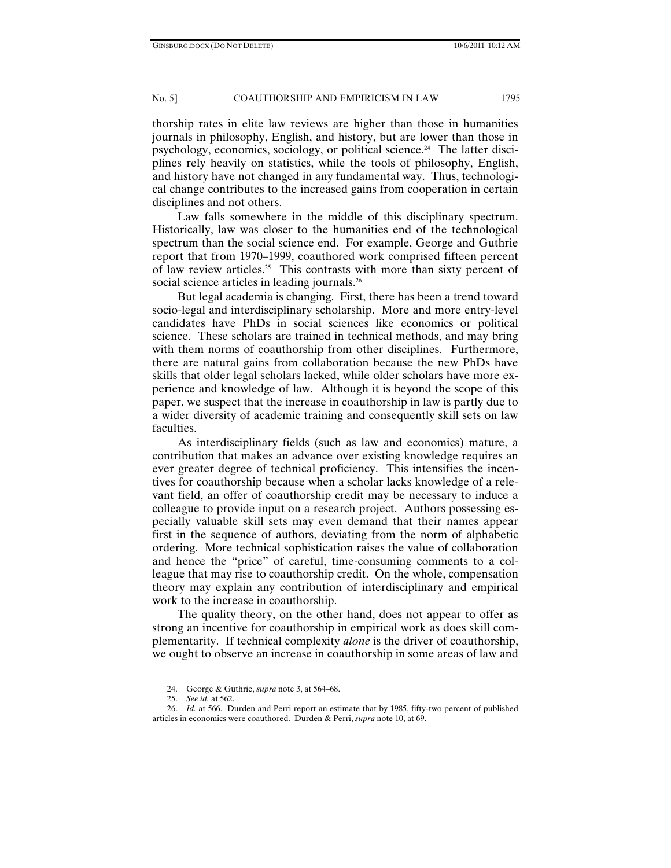thorship rates in elite law reviews are higher than those in humanities journals in philosophy, English, and history, but are lower than those in psychology, economics, sociology, or political science.24 The latter disciplines rely heavily on statistics, while the tools of philosophy, English, and history have not changed in any fundamental way. Thus, technological change contributes to the increased gains from cooperation in certain disciplines and not others.

Law falls somewhere in the middle of this disciplinary spectrum. Historically, law was closer to the humanities end of the technological spectrum than the social science end. For example, George and Guthrie report that from 1970–1999, coauthored work comprised fifteen percent of law review articles.25 This contrasts with more than sixty percent of social science articles in leading journals.<sup>26</sup>

But legal academia is changing. First, there has been a trend toward socio-legal and interdisciplinary scholarship. More and more entry-level candidates have PhDs in social sciences like economics or political science. These scholars are trained in technical methods, and may bring with them norms of coauthorship from other disciplines. Furthermore, there are natural gains from collaboration because the new PhDs have skills that older legal scholars lacked, while older scholars have more experience and knowledge of law. Although it is beyond the scope of this paper, we suspect that the increase in coauthorship in law is partly due to a wider diversity of academic training and consequently skill sets on law faculties.

As interdisciplinary fields (such as law and economics) mature, a contribution that makes an advance over existing knowledge requires an ever greater degree of technical proficiency. This intensifies the incentives for coauthorship because when a scholar lacks knowledge of a relevant field, an offer of coauthorship credit may be necessary to induce a colleague to provide input on a research project. Authors possessing especially valuable skill sets may even demand that their names appear first in the sequence of authors, deviating from the norm of alphabetic ordering. More technical sophistication raises the value of collaboration and hence the "price" of careful, time-consuming comments to a colleague that may rise to coauthorship credit. On the whole, compensation theory may explain any contribution of interdisciplinary and empirical work to the increase in coauthorship.

The quality theory, on the other hand, does not appear to offer as strong an incentive for coauthorship in empirical work as does skill complementarity. If technical complexity *alone* is the driver of coauthorship, we ought to observe an increase in coauthorship in some areas of law and

 <sup>24.</sup> George & Guthrie, *supra* note 3, at 564–68.

 <sup>25.</sup> *See id.* at 562.

 <sup>26.</sup> *Id.* at 566. Durden and Perri report an estimate that by 1985, fifty-two percent of published articles in economics were coauthored. Durden & Perri, *supra* note 10, at 69.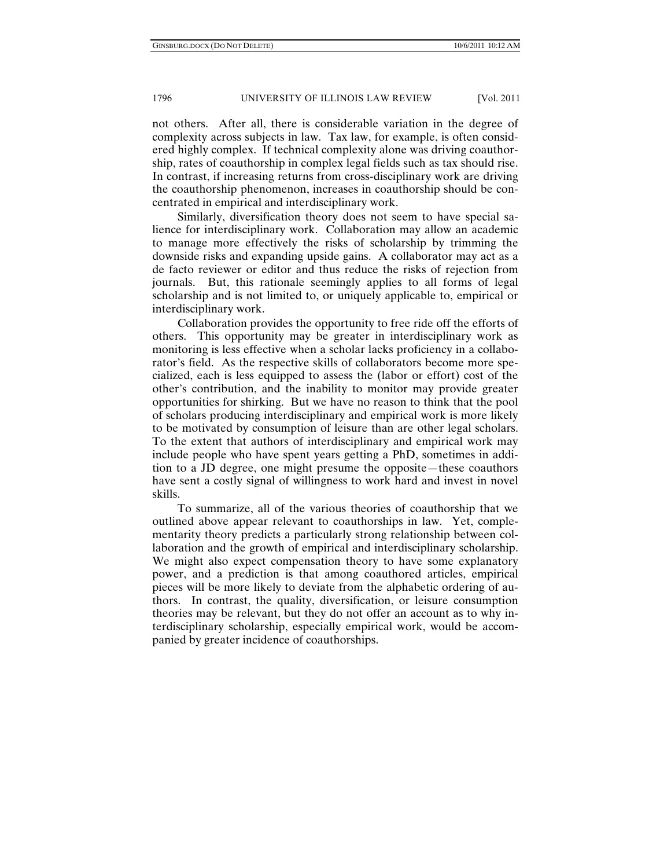not others. After all, there is considerable variation in the degree of complexity across subjects in law. Tax law, for example, is often considered highly complex. If technical complexity alone was driving coauthorship, rates of coauthorship in complex legal fields such as tax should rise. In contrast, if increasing returns from cross-disciplinary work are driving the coauthorship phenomenon, increases in coauthorship should be concentrated in empirical and interdisciplinary work.

Similarly, diversification theory does not seem to have special salience for interdisciplinary work. Collaboration may allow an academic to manage more effectively the risks of scholarship by trimming the downside risks and expanding upside gains. A collaborator may act as a de facto reviewer or editor and thus reduce the risks of rejection from journals. But, this rationale seemingly applies to all forms of legal scholarship and is not limited to, or uniquely applicable to, empirical or interdisciplinary work.

Collaboration provides the opportunity to free ride off the efforts of others. This opportunity may be greater in interdisciplinary work as monitoring is less effective when a scholar lacks proficiency in a collaborator's field. As the respective skills of collaborators become more specialized, each is less equipped to assess the (labor or effort) cost of the other's contribution, and the inability to monitor may provide greater opportunities for shirking. But we have no reason to think that the pool of scholars producing interdisciplinary and empirical work is more likely to be motivated by consumption of leisure than are other legal scholars. To the extent that authors of interdisciplinary and empirical work may include people who have spent years getting a PhD, sometimes in addition to a JD degree, one might presume the opposite—these coauthors have sent a costly signal of willingness to work hard and invest in novel skills.

To summarize, all of the various theories of coauthorship that we outlined above appear relevant to coauthorships in law. Yet, complementarity theory predicts a particularly strong relationship between collaboration and the growth of empirical and interdisciplinary scholarship. We might also expect compensation theory to have some explanatory power, and a prediction is that among coauthored articles, empirical pieces will be more likely to deviate from the alphabetic ordering of authors. In contrast, the quality, diversification, or leisure consumption theories may be relevant, but they do not offer an account as to why interdisciplinary scholarship, especially empirical work, would be accompanied by greater incidence of coauthorships.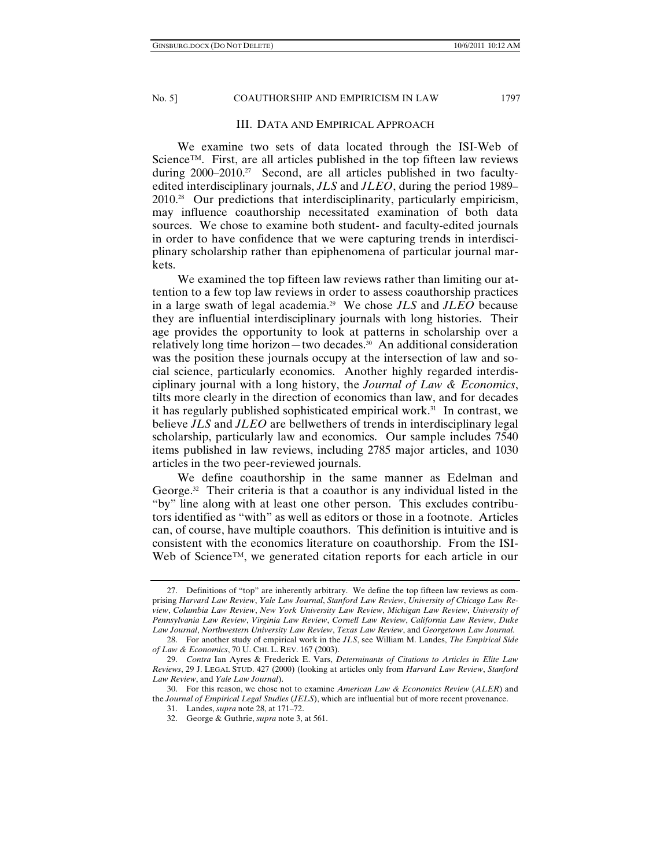## III. DATA AND EMPIRICAL APPROACH

We examine two sets of data located through the ISI-Web of Science™. First, are all articles published in the top fifteen law reviews during 2000–2010.<sup>27</sup> Second, are all articles published in two facultyedited interdisciplinary journals, *JLS* and *JLEO*, during the period 1989– 2010.28 Our predictions that interdisciplinarity, particularly empiricism, may influence coauthorship necessitated examination of both data sources. We chose to examine both student- and faculty-edited journals in order to have confidence that we were capturing trends in interdisciplinary scholarship rather than epiphenomena of particular journal markets.

We examined the top fifteen law reviews rather than limiting our attention to a few top law reviews in order to assess coauthorship practices in a large swath of legal academia.29 We chose *JLS* and *JLEO* because they are influential interdisciplinary journals with long histories. Their age provides the opportunity to look at patterns in scholarship over a relatively long time horizon—two decades.<sup>30</sup> An additional consideration was the position these journals occupy at the intersection of law and social science, particularly economics. Another highly regarded interdisciplinary journal with a long history, the *Journal of Law & Economics*, tilts more clearly in the direction of economics than law, and for decades it has regularly published sophisticated empirical work.<sup>31</sup> In contrast, we believe *JLS* and *JLEO* are bellwethers of trends in interdisciplinary legal scholarship, particularly law and economics. Our sample includes 7540 items published in law reviews, including 2785 major articles, and 1030 articles in the two peer-reviewed journals.

We define coauthorship in the same manner as Edelman and George.<sup>32</sup> Their criteria is that a coauthor is any individual listed in the "by" line along with at least one other person. This excludes contributors identified as "with" as well as editors or those in a footnote. Articles can, of course, have multiple coauthors. This definition is intuitive and is consistent with the economics literature on coauthorship. From the ISI-Web of Science™, we generated citation reports for each article in our

 <sup>27.</sup> Definitions of "top" are inherently arbitrary. We define the top fifteen law reviews as comprising *Harvard Law Review*, *Yale Law Journal*, *Stanford Law Review*, *University of Chicago Law Review*, *Columbia Law Review*, *New York University Law Review*, *Michigan Law Review*, *University of Pennsylvania Law Review*, *Virginia Law Review*, *Cornell Law Review*, *California Law Review*, *Duke Law Journal*, *Northwestern University Law Review*, *Texas Law Review*, and *Georgetown Law Journal*.

 <sup>28.</sup> For another study of empirical work in the *JLS*, see William M. Landes, *The Empirical Side of Law & Economics*, 70 U. CHI. L. REV. 167 (2003).

 <sup>29.</sup> *Contra* Ian Ayres & Frederick E. Vars, *Determinants of Citations to Articles in Elite Law Reviews*, 29 J. LEGAL STUD. 427 (2000) (looking at articles only from *Harvard Law Review*, *Stanford Law Review*, and *Yale Law Journal*).

 <sup>30.</sup> For this reason, we chose not to examine *American Law & Economics Review* (*ALER*) and the *Journal of Empirical Legal Studies* (*JELS*), which are influential but of more recent provenance.

 <sup>31.</sup> Landes, *supra* note 28, at 171–72.

 <sup>32.</sup> George & Guthrie, *supra* note 3, at 561.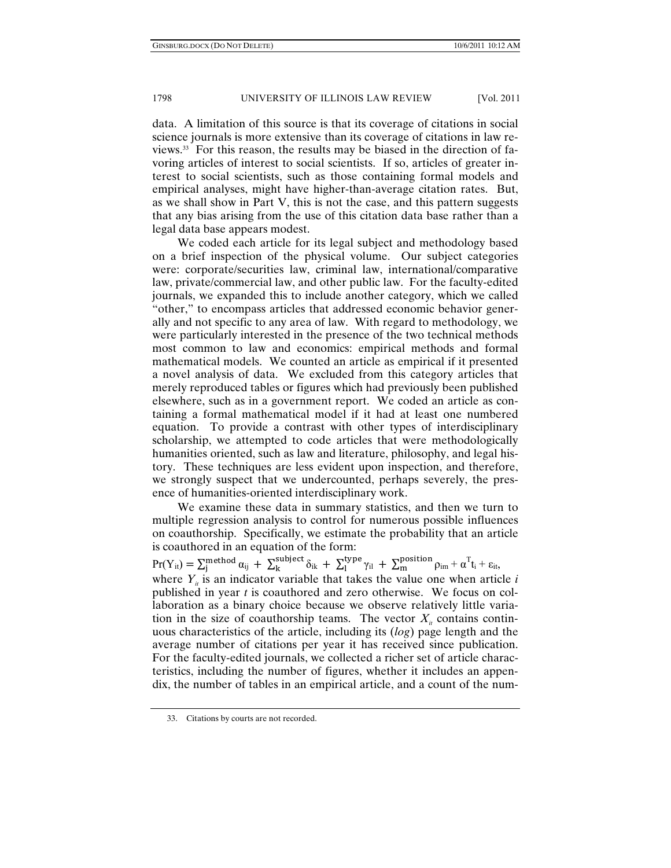data. A limitation of this source is that its coverage of citations in social science journals is more extensive than its coverage of citations in law reviews.33 For this reason, the results may be biased in the direction of favoring articles of interest to social scientists. If so, articles of greater interest to social scientists, such as those containing formal models and empirical analyses, might have higher-than-average citation rates. But, as we shall show in Part V, this is not the case, and this pattern suggests that any bias arising from the use of this citation data base rather than a legal data base appears modest.

We coded each article for its legal subject and methodology based on a brief inspection of the physical volume. Our subject categories were: corporate/securities law, criminal law, international/comparative law, private/commercial law, and other public law. For the faculty-edited journals, we expanded this to include another category, which we called "other," to encompass articles that addressed economic behavior generally and not specific to any area of law. With regard to methodology, we were particularly interested in the presence of the two technical methods most common to law and economics: empirical methods and formal mathematical models. We counted an article as empirical if it presented a novel analysis of data. We excluded from this category articles that merely reproduced tables or figures which had previously been published elsewhere, such as in a government report. We coded an article as containing a formal mathematical model if it had at least one numbered equation. To provide a contrast with other types of interdisciplinary scholarship, we attempted to code articles that were methodologically humanities oriented, such as law and literature, philosophy, and legal history. These techniques are less evident upon inspection, and therefore, we strongly suspect that we undercounted, perhaps severely, the presence of humanities-oriented interdisciplinary work.

We examine these data in summary statistics, and then we turn to multiple regression analysis to control for numerous possible influences on coauthorship. Specifically, we estimate the probability that an article is coauthored in an equation of the form:

 $Pr(Y_{it}) = \sum_{j}^{method} \alpha_{ij} + \sum_{k}^{subject} \delta_{ik} + \sum_{l}^{type} \gamma_{il} + \sum_{m}^{position} \rho_{im} + \alpha^{T} t_{i} + \varepsilon_{it},$ where  $Y_{ii}$  is an indicator variable that takes the value one when article *i* published in year *t* is coauthored and zero otherwise. We focus on collaboration as a binary choice because we observe relatively little variation in the size of coauthorship teams. The vector  $X_i$  contains continuous characteristics of the article, including its (*log*) page length and the average number of citations per year it has received since publication. For the faculty-edited journals, we collected a richer set of article characteristics, including the number of figures, whether it includes an appendix, the number of tables in an empirical article, and a count of the num-

 <sup>33.</sup> Citations by courts are not recorded.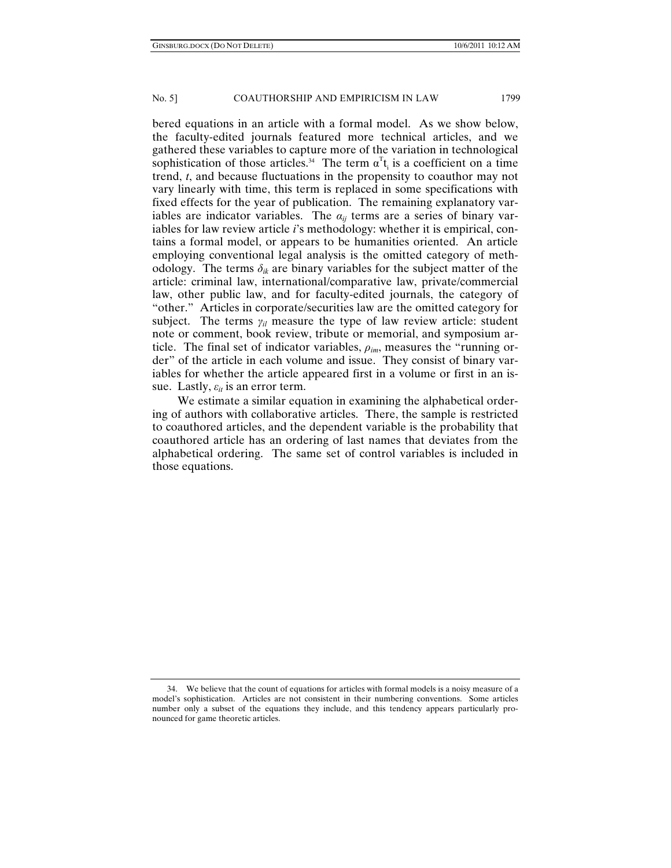bered equations in an article with a formal model. As we show below, the faculty-edited journals featured more technical articles, and we gathered these variables to capture more of the variation in technological sophistication of those articles.<sup>34</sup> The term  $\alpha^T t_i$  is a coefficient on a time trend, *t*, and because fluctuations in the propensity to coauthor may not vary linearly with time, this term is replaced in some specifications with fixed effects for the year of publication. The remaining explanatory variables are indicator variables. The  $\alpha_{ij}$  terms are a series of binary variables for law review article *i*'s methodology: whether it is empirical, contains a formal model, or appears to be humanities oriented. An article employing conventional legal analysis is the omitted category of methodology. The terms  $\delta_{ik}$  are binary variables for the subject matter of the article: criminal law, international/comparative law, private/commercial law, other public law, and for faculty-edited journals, the category of "other." Articles in corporate/securities law are the omitted category for subject. The terms  $\gamma_{ij}$  measure the type of law review article: student note or comment, book review, tribute or memorial, and symposium article. The final set of indicator variables, *ρim*, measures the "running order" of the article in each volume and issue. They consist of binary variables for whether the article appeared first in a volume or first in an issue. Lastly,  $\varepsilon_{it}$  is an error term.

We estimate a similar equation in examining the alphabetical ordering of authors with collaborative articles. There, the sample is restricted to coauthored articles, and the dependent variable is the probability that coauthored article has an ordering of last names that deviates from the alphabetical ordering. The same set of control variables is included in those equations.

 <sup>34.</sup> We believe that the count of equations for articles with formal models is a noisy measure of a model's sophistication. Articles are not consistent in their numbering conventions. Some articles number only a subset of the equations they include, and this tendency appears particularly pronounced for game theoretic articles.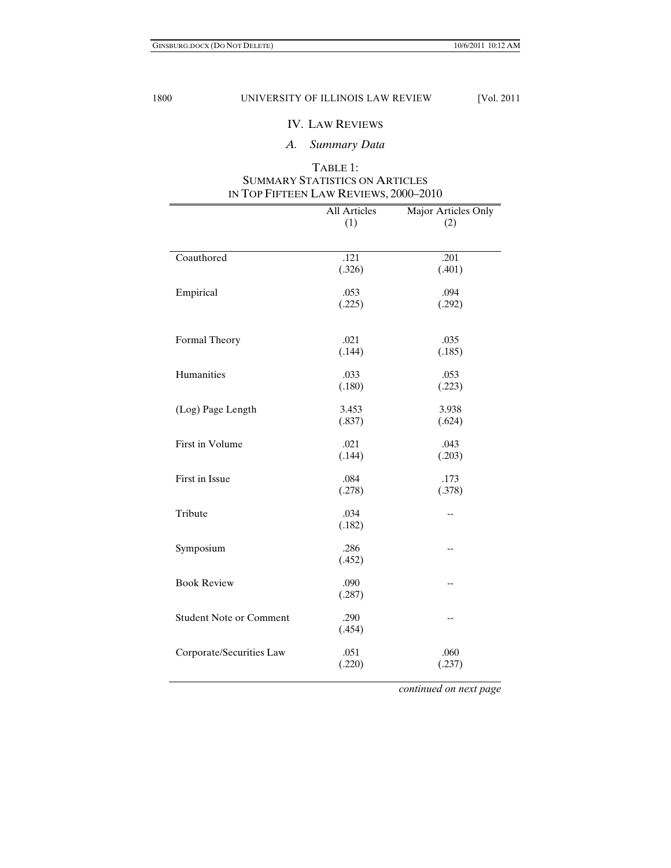## IV. LAW REVIEWS

*A. Summary Data* 

## TABLE 1: SUMMARY STATISTICS ON ARTICLES IN TOP FIFTEEN LAW REVIEWS, 2000–2010

|                                | All Articles<br>(1) | Major Articles Only<br>(2) |
|--------------------------------|---------------------|----------------------------|
| Coauthored                     | .121                | .201                       |
|                                | (.326)              | (.401)                     |
| Empirical                      | .053<br>(.225)      | .094<br>(.292)             |
| Formal Theory                  | .021<br>(.144)      | .035<br>(.185)             |
| Humanities                     | .033<br>(.180)      | .053<br>(.223)             |
| (Log) Page Length              | 3.453<br>(.837)     | 3.938<br>(.624)            |
| First in Volume                | .021<br>(.144)      | .043<br>(.203)             |
| First in Issue                 | .084<br>(.278)      | .173<br>(.378)             |
| Tribute                        | .034<br>(.182)      | $-$                        |
| Symposium                      | .286<br>(.452)      | --                         |
| <b>Book Review</b>             | .090<br>(.287)      | $-$                        |
| <b>Student Note or Comment</b> | .290<br>(.454)      | $-$                        |
| Corporate/Securities Law       | .051<br>(.220)      | .060<br>(.237)             |

 *continued on next page*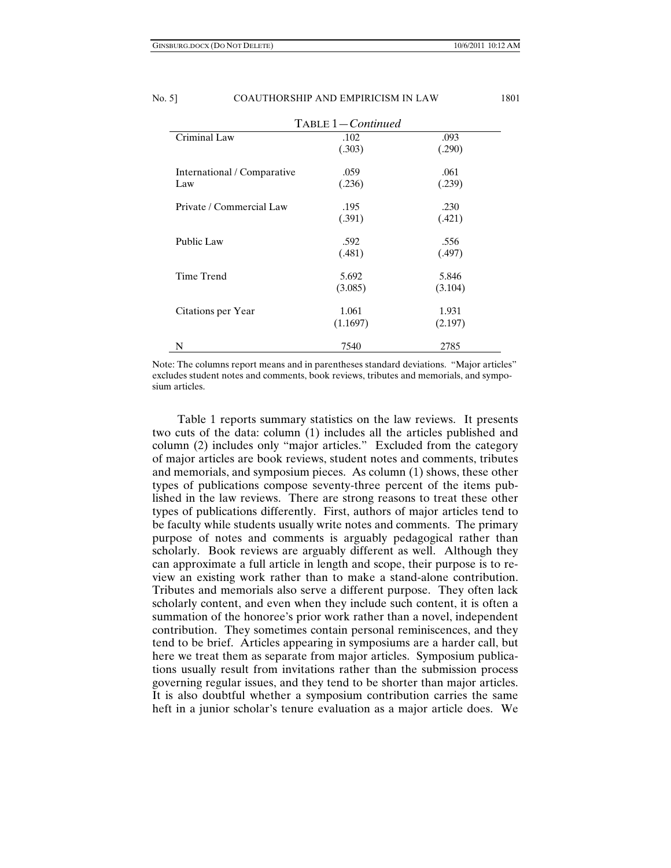| $TABLE 1-Continued$                |                   |                  |  |  |
|------------------------------------|-------------------|------------------|--|--|
| Criminal Law                       | .102<br>(.303)    | .093<br>(.290)   |  |  |
| International / Comparative<br>Law | .059<br>(.236)    | .061<br>(.239)   |  |  |
| Private / Commercial Law           | .195<br>(.391)    | .230<br>(.421)   |  |  |
| Public Law                         | .592<br>(.481)    | .556<br>(.497)   |  |  |
| Time Trend                         | 5.692<br>(3.085)  | 5.846<br>(3.104) |  |  |
| Citations per Year                 | 1.061<br>(1.1697) | 1.931<br>(2.197) |  |  |
| N                                  | 7540              | 2785             |  |  |

Note: The columns report means and in parentheses standard deviations. "Major articles" excludes student notes and comments, book reviews, tributes and memorials, and symposium articles.

Table 1 reports summary statistics on the law reviews. It presents two cuts of the data: column (1) includes all the articles published and column (2) includes only "major articles." Excluded from the category of major articles are book reviews, student notes and comments, tributes and memorials, and symposium pieces. As column (1) shows, these other types of publications compose seventy-three percent of the items published in the law reviews. There are strong reasons to treat these other types of publications differently. First, authors of major articles tend to be faculty while students usually write notes and comments. The primary purpose of notes and comments is arguably pedagogical rather than scholarly. Book reviews are arguably different as well. Although they can approximate a full article in length and scope, their purpose is to review an existing work rather than to make a stand-alone contribution. Tributes and memorials also serve a different purpose. They often lack scholarly content, and even when they include such content, it is often a summation of the honoree's prior work rather than a novel, independent contribution. They sometimes contain personal reminiscences, and they tend to be brief. Articles appearing in symposiums are a harder call, but here we treat them as separate from major articles. Symposium publications usually result from invitations rather than the submission process governing regular issues, and they tend to be shorter than major articles. It is also doubtful whether a symposium contribution carries the same heft in a junior scholar's tenure evaluation as a major article does. We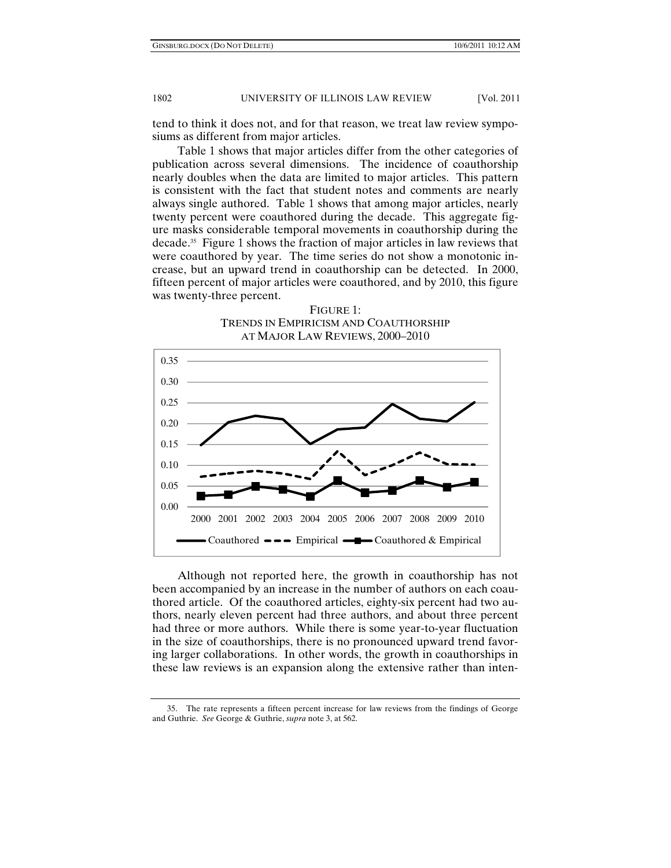tend to think it does not, and for that reason, we treat law review symposiums as different from major articles.

Table 1 shows that major articles differ from the other categories of publication across several dimensions. The incidence of coauthorship nearly doubles when the data are limited to major articles. This pattern is consistent with the fact that student notes and comments are nearly always single authored. Table 1 shows that among major articles, nearly twenty percent were coauthored during the decade. This aggregate figure masks considerable temporal movements in coauthorship during the decade.35 Figure 1 shows the fraction of major articles in law reviews that were coauthored by year. The time series do not show a monotonic increase, but an upward trend in coauthorship can be detected. In 2000, fifteen percent of major articles were coauthored, and by 2010, this figure was twenty-three percent.

FIGURE 1: TRENDS IN EMPIRICISM AND COAUTHORSHIP AT MAJOR LAW REVIEWS, 2000–2010



Although not reported here, the growth in coauthorship has not been accompanied by an increase in the number of authors on each coauthored article. Of the coauthored articles, eighty-six percent had two authors, nearly eleven percent had three authors, and about three percent had three or more authors. While there is some year-to-year fluctuation in the size of coauthorships, there is no pronounced upward trend favoring larger collaborations. In other words, the growth in coauthorships in these law reviews is an expansion along the extensive rather than inten-

 <sup>35.</sup> The rate represents a fifteen percent increase for law reviews from the findings of George and Guthrie. *See* George & Guthrie, *supra* note 3, at 562.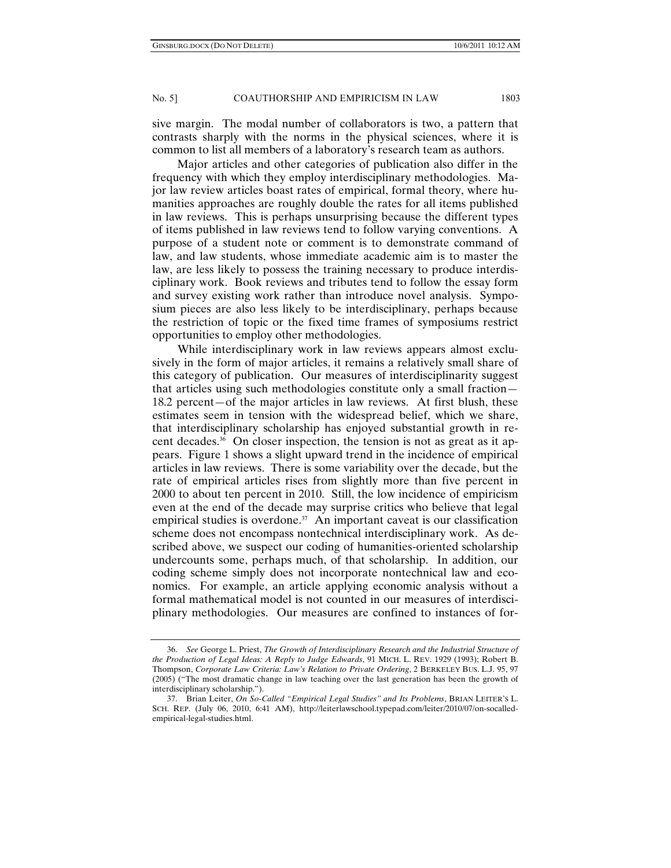sive margin. The modal number of collaborators is two, a pattern that contrasts sharply with the norms in the physical sciences, where it is common to list all members of a laboratory's research team as authors.

Major articles and other categories of publication also differ in the frequency with which they employ interdisciplinary methodologies. Major law review articles boast rates of empirical, formal theory, where humanities approaches are roughly double the rates for all items published in law reviews. This is perhaps unsurprising because the different types of items published in law reviews tend to follow varying conventions. A purpose of a student note or comment is to demonstrate command of law, and law students, whose immediate academic aim is to master the law, are less likely to possess the training necessary to produce interdisciplinary work. Book reviews and tributes tend to follow the essay form and survey existing work rather than introduce novel analysis. Symposium pieces are also less likely to be interdisciplinary, perhaps because the restriction of topic or the fixed time frames of symposiums restrict opportunities to employ other methodologies.

While interdisciplinary work in law reviews appears almost exclusively in the form of major articles, it remains a relatively small share of this category of publication. Our measures of interdisciplinarity suggest that articles using such methodologies constitute only a small fraction— 18.2 percent—of the major articles in law reviews. At first blush, these estimates seem in tension with the widespread belief, which we share, that interdisciplinary scholarship has enjoyed substantial growth in recent decades.<sup>36</sup> On closer inspection, the tension is not as great as it appears. Figure 1 shows a slight upward trend in the incidence of empirical articles in law reviews. There is some variability over the decade, but the rate of empirical articles rises from slightly more than five percent in 2000 to about ten percent in 2010. Still, the low incidence of empiricism even at the end of the decade may surprise critics who believe that legal empirical studies is overdone. $37$  An important caveat is our classification scheme does not encompass nontechnical interdisciplinary work. As described above, we suspect our coding of humanities-oriented scholarship undercounts some, perhaps much, of that scholarship. In addition, our coding scheme simply does not incorporate nontechnical law and economics. For example, an article applying economic analysis without a formal mathematical model is not counted in our measures of interdisciplinary methodologies. Our measures are confined to instances of for-

 <sup>36.</sup> *See* George L. Priest, *The Growth of Interdisciplinary Research and the Industrial Structure of the Production of Legal Ideas: A Reply to Judge Edwards*, 91 MICH. L. REV. 1929 (1993); Robert B. Thompson, *Corporate Law Criteria: Law's Relation to Private Ordering*, 2 BERKELEY BUS. L.J. 95, 97 (2005) ("The most dramatic change in law teaching over the last generation has been the growth of interdisciplinary scholarship.").

 <sup>37.</sup> Brian Leiter, *On So-Called "Empirical Legal Studies" and Its Problems*, BRIAN LEITER'S L. SCH. REP. (July 06, 2010, 6:41 AM), http://leiterlawschool.typepad.com/leiter/2010/07/on-socalledempirical-legal-studies.html.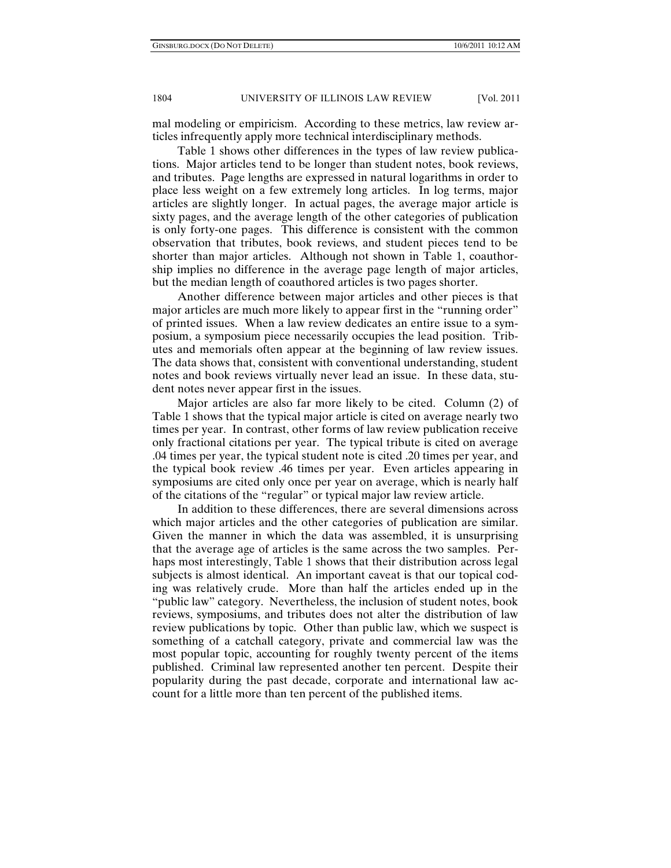mal modeling or empiricism. According to these metrics, law review articles infrequently apply more technical interdisciplinary methods.

Table 1 shows other differences in the types of law review publications. Major articles tend to be longer than student notes, book reviews, and tributes. Page lengths are expressed in natural logarithms in order to place less weight on a few extremely long articles. In log terms, major articles are slightly longer. In actual pages, the average major article is sixty pages, and the average length of the other categories of publication is only forty-one pages. This difference is consistent with the common observation that tributes, book reviews, and student pieces tend to be shorter than major articles. Although not shown in Table 1, coauthorship implies no difference in the average page length of major articles, but the median length of coauthored articles is two pages shorter.

Another difference between major articles and other pieces is that major articles are much more likely to appear first in the "running order" of printed issues. When a law review dedicates an entire issue to a symposium, a symposium piece necessarily occupies the lead position. Tributes and memorials often appear at the beginning of law review issues. The data shows that, consistent with conventional understanding, student notes and book reviews virtually never lead an issue. In these data, student notes never appear first in the issues.

Major articles are also far more likely to be cited. Column (2) of Table 1 shows that the typical major article is cited on average nearly two times per year. In contrast, other forms of law review publication receive only fractional citations per year. The typical tribute is cited on average .04 times per year, the typical student note is cited .20 times per year, and the typical book review .46 times per year. Even articles appearing in symposiums are cited only once per year on average, which is nearly half of the citations of the "regular" or typical major law review article.

In addition to these differences, there are several dimensions across which major articles and the other categories of publication are similar. Given the manner in which the data was assembled, it is unsurprising that the average age of articles is the same across the two samples. Perhaps most interestingly, Table 1 shows that their distribution across legal subjects is almost identical. An important caveat is that our topical coding was relatively crude. More than half the articles ended up in the "public law" category. Nevertheless, the inclusion of student notes, book reviews, symposiums, and tributes does not alter the distribution of law review publications by topic. Other than public law, which we suspect is something of a catchall category, private and commercial law was the most popular topic, accounting for roughly twenty percent of the items published. Criminal law represented another ten percent. Despite their popularity during the past decade, corporate and international law account for a little more than ten percent of the published items.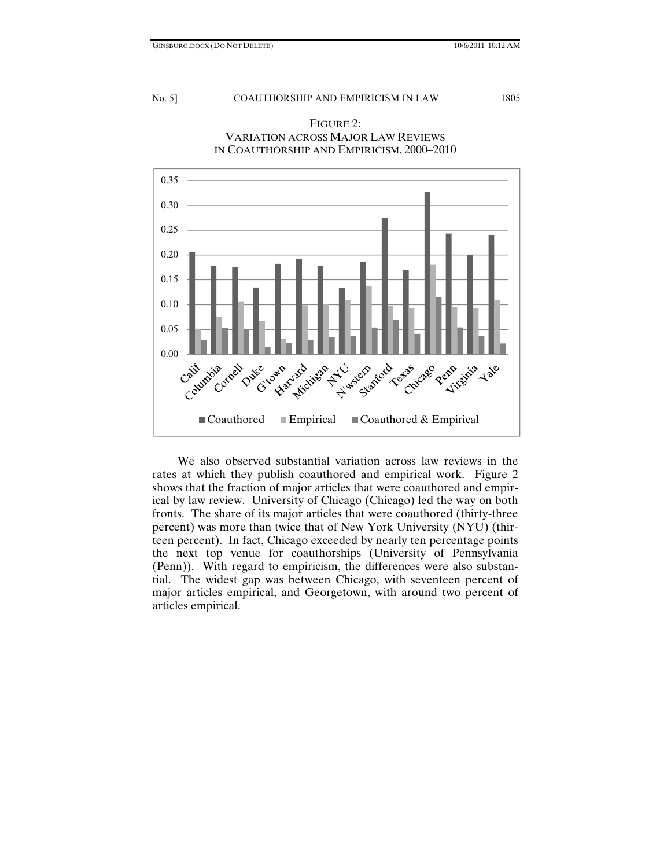

## FIGURE 2: VARIATION ACROSS MAJOR LAW REVIEWS IN COAUTHORSHIP AND EMPIRICISM, 2000–2010

We also observed substantial variation across law reviews in the rates at which they publish coauthored and empirical work. Figure 2 shows that the fraction of major articles that were coauthored and empirical by law review. University of Chicago (Chicago) led the way on both fronts. The share of its major articles that were coauthored (thirty-three percent) was more than twice that of New York University (NYU) (thirteen percent). In fact, Chicago exceeded by nearly ten percentage points the next top venue for coauthorships (University of Pennsylvania (Penn)). With regard to empiricism, the differences were also substantial. The widest gap was between Chicago, with seventeen percent of major articles empirical, and Georgetown, with around two percent of articles empirical.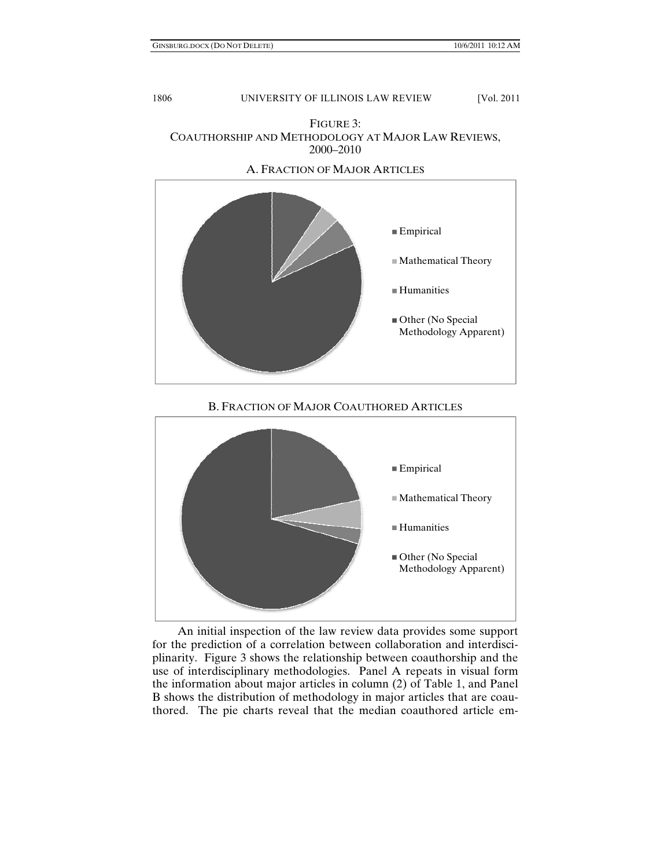

A. FRACTION OF MAJOR ARTICLES



## B. FRACTION OF MAJOR COAUTHORED ARTICLES



An initial inspection of the law review data provides some support for the prediction of a correlation between collaboration and interdisciplinarity. Figure 3 shows the relationship between coauthorship and the use of interdisciplinary methodologies. Panel A repeats in visual form the information about major articles in column (2) of Table 1, and Panel B shows the distribution of methodology in major articles that are coauthored. The pie charts reveal that the median coauthored article em-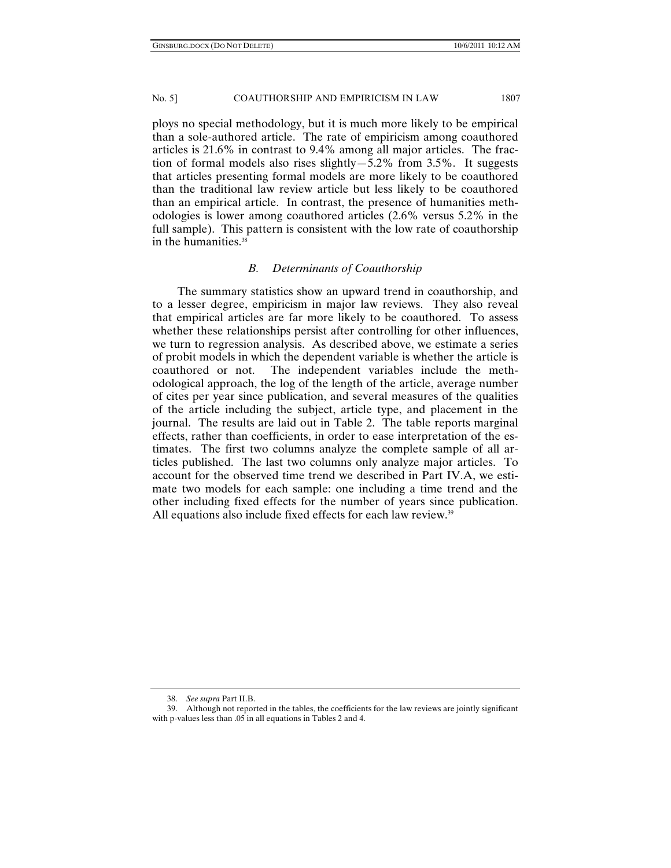ploys no special methodology, but it is much more likely to be empirical than a sole-authored article. The rate of empiricism among coauthored articles is 21.6% in contrast to 9.4% among all major articles. The fraction of formal models also rises slightly—5.2% from 3.5%. It suggests that articles presenting formal models are more likely to be coauthored than the traditional law review article but less likely to be coauthored than an empirical article. In contrast, the presence of humanities methodologies is lower among coauthored articles (2.6% versus 5.2% in the full sample). This pattern is consistent with the low rate of coauthorship in the humanities.<sup>38</sup>

#### *B. Determinants of Coauthorship*

The summary statistics show an upward trend in coauthorship, and to a lesser degree, empiricism in major law reviews. They also reveal that empirical articles are far more likely to be coauthored. To assess whether these relationships persist after controlling for other influences, we turn to regression analysis. As described above, we estimate a series of probit models in which the dependent variable is whether the article is coauthored or not. The independent variables include the methodological approach, the log of the length of the article, average number of cites per year since publication, and several measures of the qualities of the article including the subject, article type, and placement in the journal. The results are laid out in Table 2. The table reports marginal effects, rather than coefficients, in order to ease interpretation of the estimates. The first two columns analyze the complete sample of all articles published. The last two columns only analyze major articles. To account for the observed time trend we described in Part IV.A, we estimate two models for each sample: one including a time trend and the other including fixed effects for the number of years since publication. All equations also include fixed effects for each law review.<sup>39</sup>

 <sup>38.</sup> *See supra* Part II.B.

 <sup>39.</sup> Although not reported in the tables, the coefficients for the law reviews are jointly significant with p-values less than .05 in all equations in Tables 2 and 4.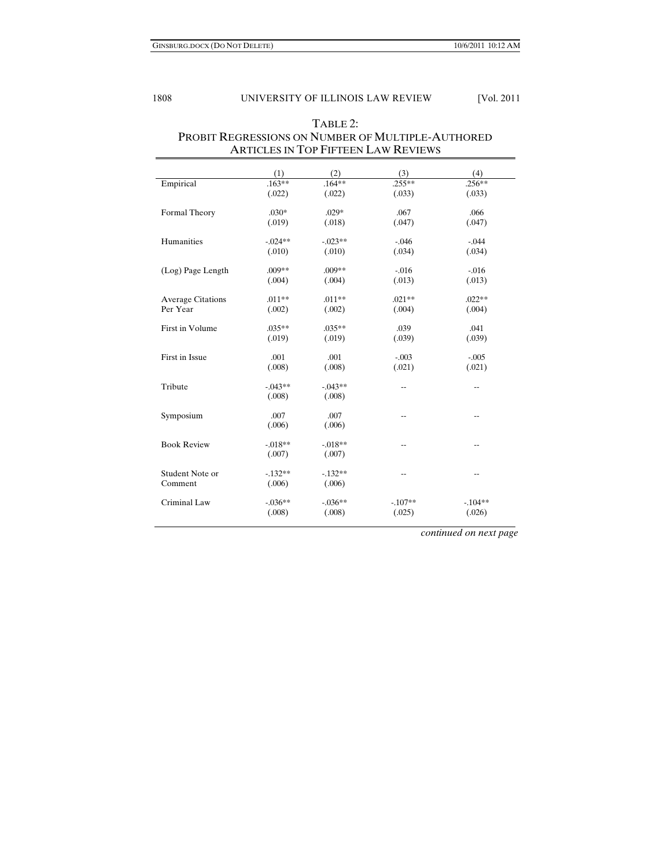| THAT CELD IN TOT THE TELL EATH INEVIEWS |            |           |           |                          |
|-----------------------------------------|------------|-----------|-----------|--------------------------|
|                                         | (1)        | (2)       | (3)       | (4)                      |
| Empirical                               | $.163**$   | $.164***$ | $255**$   | $.256**$                 |
|                                         | (.022)     | (.022)    | (.033)    | (.033)                   |
|                                         |            |           |           |                          |
| Formal Theory                           | $.030*$    | $.029*$   | .067      | .066                     |
|                                         | (.019)     | (.018)    | (.047)    | (.047)                   |
| Humanities                              | $-.024**$  | $-.023**$ | $-.046$   | $-.044$                  |
|                                         | (.010)     | (.010)    | (.034)    | (.034)                   |
|                                         |            |           |           |                          |
| (Log) Page Length                       | $.009**$   | $.009**$  | $-.016$   | $-0.016$                 |
|                                         | (.004)     | (.004)    | (.013)    | (.013)                   |
|                                         |            |           |           |                          |
| <b>Average Citations</b>                | $.011**$   | $.011**$  | $.021**$  | $.022**$                 |
| Per Year                                | (.002)     | (.002)    | (.004)    | (.004)                   |
| First in Volume                         | $.035**$   | $.035**$  | .039      | .041                     |
|                                         | (.019)     | (.019)    | (.039)    | (.039)                   |
|                                         |            |           |           |                          |
| First in Issue                          | .001       | .001      | $-.003$   | $-.005$                  |
|                                         | (.008)     | (.008)    | (.021)    | (.021)                   |
| Tribute                                 | $-.043**$  | $-.043**$ | $-$       |                          |
|                                         | (.008)     | (.008)    |           | --                       |
|                                         |            |           |           |                          |
| Symposium                               | .007       | .007      | --        | $\overline{\phantom{a}}$ |
|                                         | (.006)     | (.006)    |           |                          |
|                                         |            |           |           |                          |
| <b>Book Review</b>                      | $-.018**$  | $-.018**$ | --        | $\overline{\phantom{a}}$ |
|                                         | (.007)     | (.007)    |           |                          |
| Student Note or                         | $-132**$   | $-132**$  | --        | $-$                      |
| Comment                                 | (.006)     | (.006)    |           |                          |
|                                         |            |           |           |                          |
| Criminal Law                            | $-0.036**$ | $-.036**$ | $-.107**$ | $-.104**$                |
|                                         | (.008)     | (.008)    | (.025)    | (.026)                   |
|                                         |            |           |           |                          |

## TABLE 2: PROBIT REGRESSIONS ON NUMBER OF MULTIPLE-AUTHORED ARTICLES IN TOP FIFTEEN LAW REVIEWS

*continued on next page*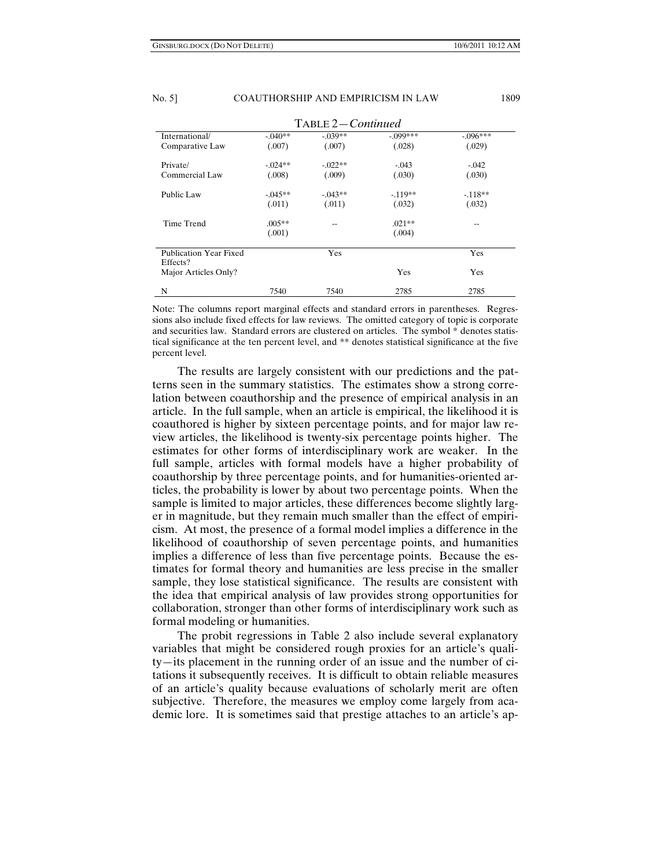| TABLE 2-Continued             |           |           |            |            |
|-------------------------------|-----------|-----------|------------|------------|
| International/                | $-.040**$ | $-.039**$ | $-.099***$ | $-.096***$ |
| Comparative Law               | (.007)    | (.007)    | (.028)     | (.029)     |
| Private/                      | $-.024**$ | $-.022**$ | $-.043$    | $-.042$    |
| Commercial Law                | (.008)    | (.009)    | (.030)     | (.030)     |
| Public Law                    | $-.045**$ | $-.043**$ | $-.119**$  | $-118**$   |
|                               | (.011)    | (.011)    | (.032)     | (.032)     |
| Time Trend                    | $.005**$  |           | $.021**$   |            |
|                               | (.001)    |           | (.004)     |            |
| <b>Publication Year Fixed</b> |           | Yes       |            | Yes        |
| Effects?                      |           |           |            |            |
| Major Articles Only?          |           |           | Yes        | Yes        |

Note: The columns report marginal effects and standard errors in parentheses. Regressions also include fixed effects for law reviews. The omitted category of topic is corporate and securities law. Standard errors are clustered on articles. The symbol \* denotes statistical significance at the ten percent level, and \*\* denotes statistical significance at the five percent level.

N 7540 7540 2785 2785

The results are largely consistent with our predictions and the patterns seen in the summary statistics. The estimates show a strong correlation between coauthorship and the presence of empirical analysis in an article. In the full sample, when an article is empirical, the likelihood it is coauthored is higher by sixteen percentage points, and for major law review articles, the likelihood is twenty-six percentage points higher. The estimates for other forms of interdisciplinary work are weaker. In the full sample, articles with formal models have a higher probability of coauthorship by three percentage points, and for humanities-oriented articles, the probability is lower by about two percentage points. When the sample is limited to major articles, these differences become slightly larger in magnitude, but they remain much smaller than the effect of empiricism. At most, the presence of a formal model implies a difference in the likelihood of coauthorship of seven percentage points, and humanities implies a difference of less than five percentage points. Because the estimates for formal theory and humanities are less precise in the smaller sample, they lose statistical significance. The results are consistent with the idea that empirical analysis of law provides strong opportunities for collaboration, stronger than other forms of interdisciplinary work such as formal modeling or humanities.

The probit regressions in Table 2 also include several explanatory variables that might be considered rough proxies for an article's quality—its placement in the running order of an issue and the number of citations it subsequently receives. It is difficult to obtain reliable measures of an article's quality because evaluations of scholarly merit are often subjective. Therefore, the measures we employ come largely from academic lore. It is sometimes said that prestige attaches to an article's ap-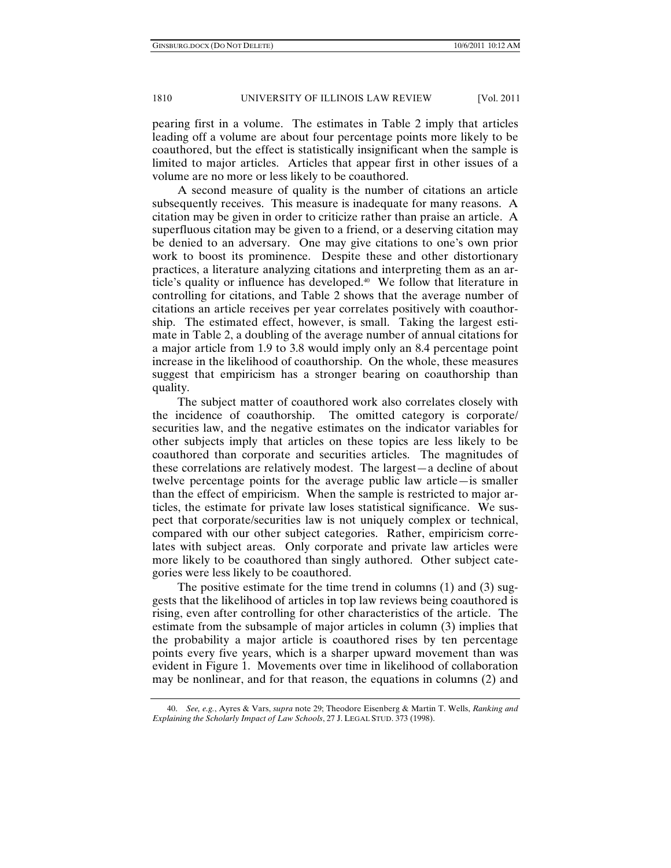pearing first in a volume. The estimates in Table 2 imply that articles leading off a volume are about four percentage points more likely to be coauthored, but the effect is statistically insignificant when the sample is limited to major articles. Articles that appear first in other issues of a volume are no more or less likely to be coauthored.

A second measure of quality is the number of citations an article subsequently receives. This measure is inadequate for many reasons. A citation may be given in order to criticize rather than praise an article. A superfluous citation may be given to a friend, or a deserving citation may be denied to an adversary. One may give citations to one's own prior work to boost its prominence. Despite these and other distortionary practices, a literature analyzing citations and interpreting them as an article's quality or influence has developed.40 We follow that literature in controlling for citations, and Table 2 shows that the average number of citations an article receives per year correlates positively with coauthorship. The estimated effect, however, is small. Taking the largest estimate in Table 2, a doubling of the average number of annual citations for a major article from 1.9 to 3.8 would imply only an 8.4 percentage point increase in the likelihood of coauthorship. On the whole, these measures suggest that empiricism has a stronger bearing on coauthorship than quality.

The subject matter of coauthored work also correlates closely with the incidence of coauthorship. The omitted category is corporate/ securities law, and the negative estimates on the indicator variables for other subjects imply that articles on these topics are less likely to be coauthored than corporate and securities articles. The magnitudes of these correlations are relatively modest. The largest—a decline of about twelve percentage points for the average public law article—is smaller than the effect of empiricism. When the sample is restricted to major articles, the estimate for private law loses statistical significance. We suspect that corporate/securities law is not uniquely complex or technical, compared with our other subject categories. Rather, empiricism correlates with subject areas. Only corporate and private law articles were more likely to be coauthored than singly authored. Other subject categories were less likely to be coauthored.

The positive estimate for the time trend in columns (1) and (3) suggests that the likelihood of articles in top law reviews being coauthored is rising, even after controlling for other characteristics of the article. The estimate from the subsample of major articles in column (3) implies that the probability a major article is coauthored rises by ten percentage points every five years, which is a sharper upward movement than was evident in Figure 1. Movements over time in likelihood of collaboration may be nonlinear, and for that reason, the equations in columns (2) and

 <sup>40.</sup> *See, e.g.*, Ayres & Vars, *supra* note 29; Theodore Eisenberg & Martin T. Wells, *Ranking and Explaining the Scholarly Impact of Law Schools*, 27 J. LEGAL STUD. 373 (1998).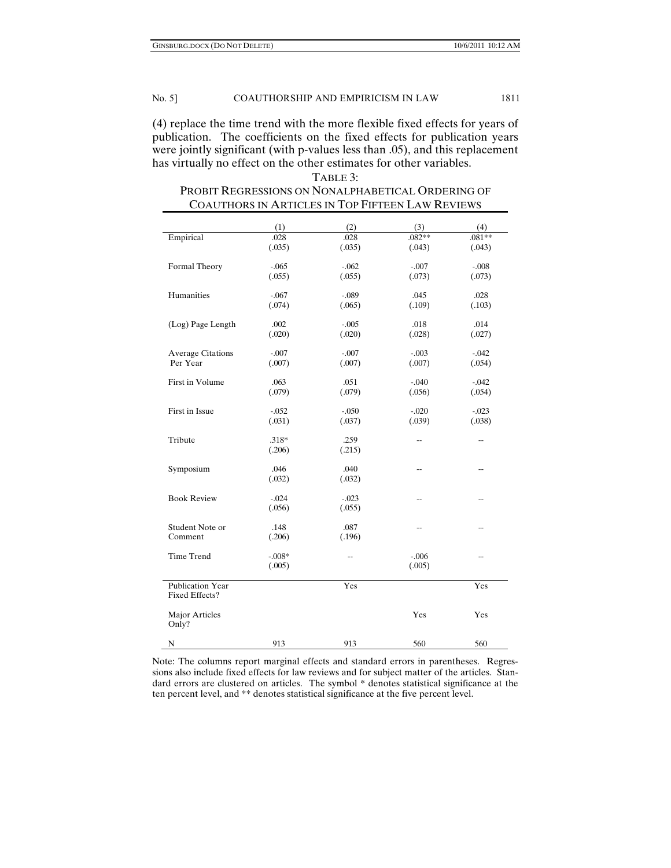(4) replace the time trend with the more flexible fixed effects for years of publication. The coefficients on the fixed effects for publication years were jointly significant (with p-values less than .05), and this replacement has virtually no effect on the other estimates for other variables.

## TABLE 3: PROBIT REGRESSIONS ON NONALPHABETICAL ORDERING OF COAUTHORS IN ARTICLES IN TOP FIFTEEN LAW REVIEWS

|                          | (1)      | (2)      | (3)                      | (4)            |
|--------------------------|----------|----------|--------------------------|----------------|
| Empirical                | .028     | .028     | $.082**$                 | $.081**$       |
|                          | (.035)   | (.035)   | (.043)                   | (.043)         |
|                          |          |          |                          |                |
| Formal Theory            | $-.065$  | $-.062$  | $-.007$                  | $-.008$        |
|                          | (.055)   | (.055)   | (.073)                   | (.073)         |
|                          |          |          |                          |                |
| Humanities               | $-.067$  | $-.089$  | .045                     | .028           |
|                          | (.074)   | (.065)   | (.109)                   | (.103)         |
|                          |          |          |                          |                |
| (Log) Page Length        | .002     | $-.005$  | .018                     | .014           |
|                          | (.020)   | (.020)   | (.028)                   | (.027)         |
|                          |          |          |                          |                |
| <b>Average Citations</b> | $-.007$  | $-.007$  | $-.003$                  | $-.042$        |
| Per Year                 | (.007)   | (.007)   | (.007)                   | (.054)         |
|                          |          |          |                          |                |
| First in Volume          | .063     | .051     | $-.040$                  | $-.042$        |
|                          | (.079)   | (.079)   | (.056)                   | (.054)         |
|                          |          |          |                          |                |
| First in Issue           | $-.052$  | $-.050$  | $-.020$                  | $-.023$        |
|                          | (.031)   | (.037)   | (.039)                   | (.038)         |
|                          |          |          |                          |                |
| Tribute                  | $.318*$  | .259     | $\overline{\phantom{a}}$ | --             |
|                          | (.206)   | (.215)   |                          |                |
|                          |          |          |                          |                |
| Symposium                | .046     | .040     | $\overline{a}$           | $\overline{a}$ |
|                          | (.032)   | (.032)   |                          |                |
|                          |          |          |                          |                |
| <b>Book Review</b>       | $-.024$  | $-0.023$ | $\overline{a}$           | $-$            |
|                          | (.056)   | (.055)   |                          |                |
|                          |          |          |                          |                |
| Student Note or          | .148     | .087     | --                       | --             |
| Comment                  | (.206)   | (.196)   |                          |                |
|                          |          |          |                          |                |
| Time Trend               | $-.008*$ | --       | $-.006$                  | --             |
|                          | (.005)   |          | (.005)                   |                |
|                          |          |          |                          |                |
| <b>Publication Year</b>  |          | Yes      |                          | Yes            |
| Fixed Effects?           |          |          |                          |                |
|                          |          |          |                          |                |
| Major Articles           |          |          | Yes                      | Yes            |
| Only?                    |          |          |                          |                |
|                          |          |          |                          |                |
| $\mathbf N$              | 913      | 913      | 560                      | 560            |

Note: The columns report marginal effects and standard errors in parentheses. Regressions also include fixed effects for law reviews and for subject matter of the articles. Standard errors are clustered on articles. The symbol \* denotes statistical significance at the ten percent level, and \*\* denotes statistical significance at the five percent level.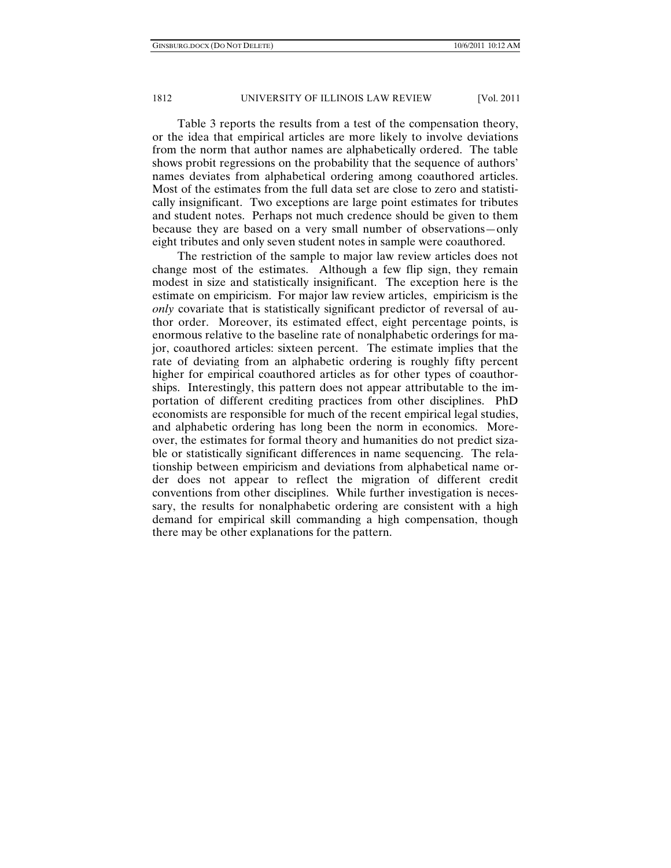Table 3 reports the results from a test of the compensation theory, or the idea that empirical articles are more likely to involve deviations from the norm that author names are alphabetically ordered. The table shows probit regressions on the probability that the sequence of authors' names deviates from alphabetical ordering among coauthored articles. Most of the estimates from the full data set are close to zero and statistically insignificant. Two exceptions are large point estimates for tributes and student notes. Perhaps not much credence should be given to them because they are based on a very small number of observations—only eight tributes and only seven student notes in sample were coauthored.

The restriction of the sample to major law review articles does not change most of the estimates. Although a few flip sign, they remain modest in size and statistically insignificant. The exception here is the estimate on empiricism. For major law review articles, empiricism is the *only* covariate that is statistically significant predictor of reversal of author order. Moreover, its estimated effect, eight percentage points, is enormous relative to the baseline rate of nonalphabetic orderings for major, coauthored articles: sixteen percent. The estimate implies that the rate of deviating from an alphabetic ordering is roughly fifty percent higher for empirical coauthored articles as for other types of coauthorships. Interestingly, this pattern does not appear attributable to the importation of different crediting practices from other disciplines. PhD economists are responsible for much of the recent empirical legal studies, and alphabetic ordering has long been the norm in economics. Moreover, the estimates for formal theory and humanities do not predict sizable or statistically significant differences in name sequencing. The relationship between empiricism and deviations from alphabetical name order does not appear to reflect the migration of different credit conventions from other disciplines. While further investigation is necessary, the results for nonalphabetic ordering are consistent with a high demand for empirical skill commanding a high compensation, though there may be other explanations for the pattern.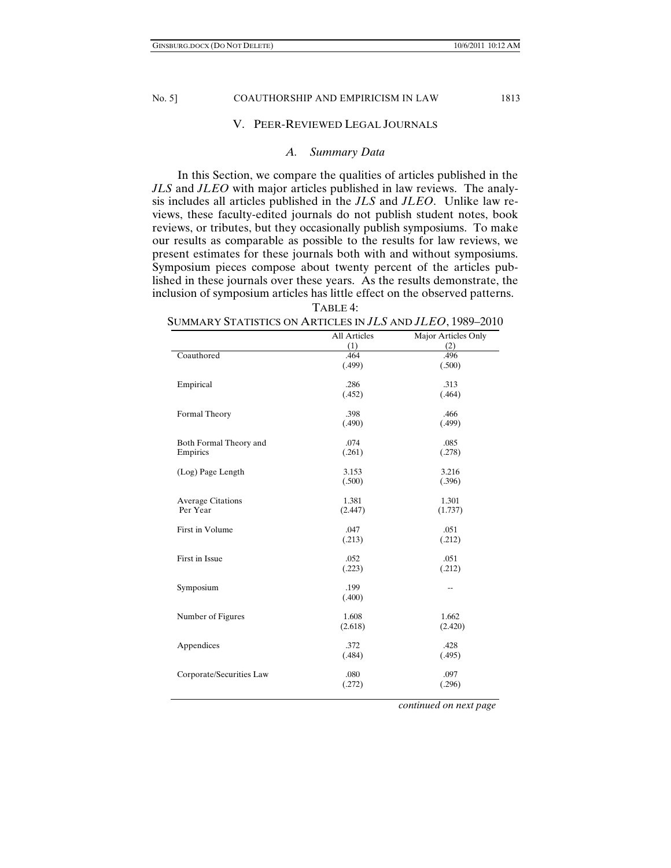## V. PEER-REVIEWED LEGAL JOURNALS

## *A. Summary Data*

In this Section, we compare the qualities of articles published in the *JLS* and *JLEO* with major articles published in law reviews. The analysis includes all articles published in the *JLS* and *JLEO*. Unlike law reviews, these faculty-edited journals do not publish student notes, book reviews, or tributes, but they occasionally publish symposiums. To make our results as comparable as possible to the results for law reviews, we present estimates for these journals both with and without symposiums. Symposium pieces compose about twenty percent of the articles published in these journals over these years. As the results demonstrate, the inclusion of symposium articles has little effect on the observed patterns.

TABLE 4:

### SUMMARY STATISTICS ON ARTICLES IN *JLS* AND *JLEO*, 1989–2010

|                          | <b>All Articles</b> | Major Articles Only |
|--------------------------|---------------------|---------------------|
|                          | (1)                 | (2)                 |
| Coauthored               | .464                | .496                |
|                          | (.499)              | (.500)              |
|                          |                     |                     |
| Empirical                | .286                | .313                |
|                          | (.452)              | (.464)              |
|                          |                     |                     |
| Formal Theory            | .398                | .466                |
|                          | (.490)              | (.499)              |
|                          |                     |                     |
| Both Formal Theory and   | .074                | .085                |
| Empirics                 | (.261)              | (.278)              |
|                          |                     |                     |
| (Log) Page Length        | 3.153               | 3.216               |
|                          | (.500)              | (.396)              |
|                          |                     |                     |
| <b>Average Citations</b> | 1.381               | 1.301               |
| Per Year                 | (2.447)             | (1.737)             |
|                          |                     |                     |
| First in Volume          | .047                | .051                |
|                          | (.213)              | (.212)              |
| First in Issue           | .052                | .051                |
|                          |                     |                     |
|                          | (.223)              | (.212)              |
| Symposium                | .199                | --                  |
|                          | (.400)              |                     |
|                          |                     |                     |
| Number of Figures        | 1.608               | 1.662               |
|                          | (2.618)             | (2.420)             |
|                          |                     |                     |
| Appendices               | .372                | .428                |
|                          | (.484)              | (.495)              |
|                          |                     |                     |
| Corporate/Securities Law | .080                | .097                |
|                          | (.272)              | (.296)              |
|                          |                     |                     |

 *continued on next page*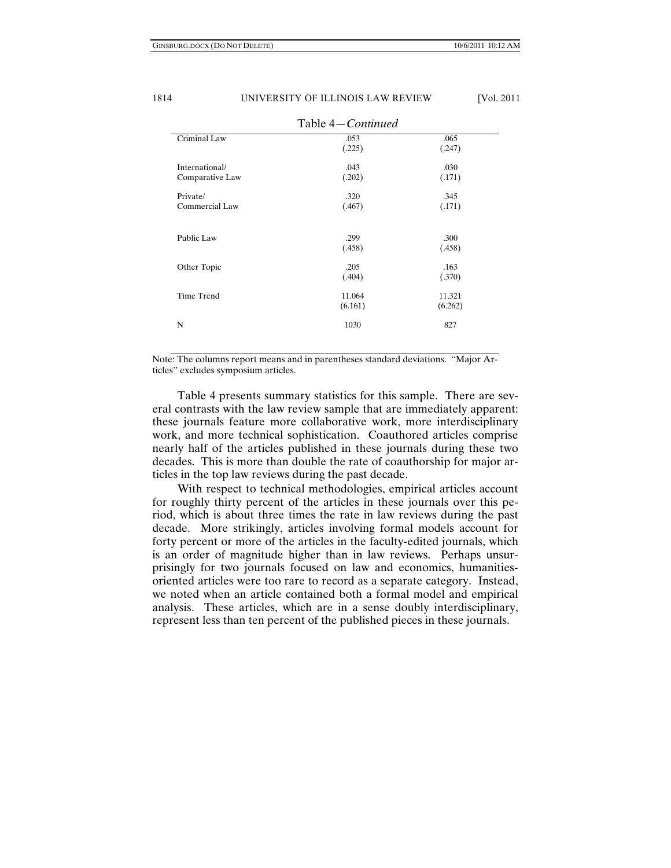| Table 4-Continued |         |         |  |  |
|-------------------|---------|---------|--|--|
| Criminal Law      | .053    | .065    |  |  |
|                   | (.225)  | (.247)  |  |  |
| International/    | .043    | .030    |  |  |
| Comparative Law   | (.202)  | (.171)  |  |  |
| Private/          | .320    | .345    |  |  |
| Commercial Law    | (.467)  | (.171)  |  |  |
|                   |         |         |  |  |
| Public Law        | .299    | .300    |  |  |
|                   | (.458)  | (.458)  |  |  |
| Other Topic       | .205    | .163    |  |  |
|                   | (.404)  | (.370)  |  |  |
| Time Trend        | 11.064  | 11.321  |  |  |
|                   | (6.161) | (6.262) |  |  |
| N                 | 1030    | 827     |  |  |

Note: The columns report means and in parentheses standard deviations. "Major Articles" excludes symposium articles.

Table 4 presents summary statistics for this sample. There are several contrasts with the law review sample that are immediately apparent: these journals feature more collaborative work, more interdisciplinary work, and more technical sophistication. Coauthored articles comprise nearly half of the articles published in these journals during these two decades. This is more than double the rate of coauthorship for major articles in the top law reviews during the past decade.

With respect to technical methodologies, empirical articles account for roughly thirty percent of the articles in these journals over this period, which is about three times the rate in law reviews during the past decade. More strikingly, articles involving formal models account for forty percent or more of the articles in the faculty-edited journals, which is an order of magnitude higher than in law reviews. Perhaps unsurprisingly for two journals focused on law and economics, humanitiesoriented articles were too rare to record as a separate category. Instead, we noted when an article contained both a formal model and empirical analysis. These articles, which are in a sense doubly interdisciplinary, represent less than ten percent of the published pieces in these journals.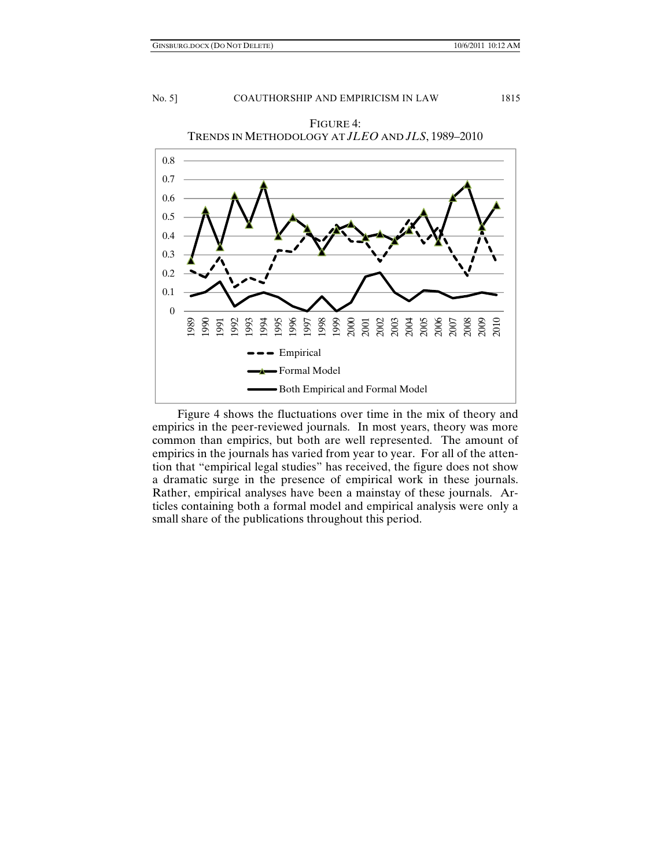

FIGURE 4: TRENDS IN METHODOLOGY AT *JLEO* AND *JLS*, 1989–2010

Figure 4 shows the fluctuations over time in the mix of theory and empirics in the peer-reviewed journals. In most years, theory was more common than empirics, but both are well represented. The amount of empirics in the journals has varied from year to year. For all of the attention that "empirical legal studies" has received, the figure does not show a dramatic surge in the presence of empirical work in these journals. Rather, empirical analyses have been a mainstay of these journals. Articles containing both a formal model and empirical analysis were only a small share of the publications throughout this period.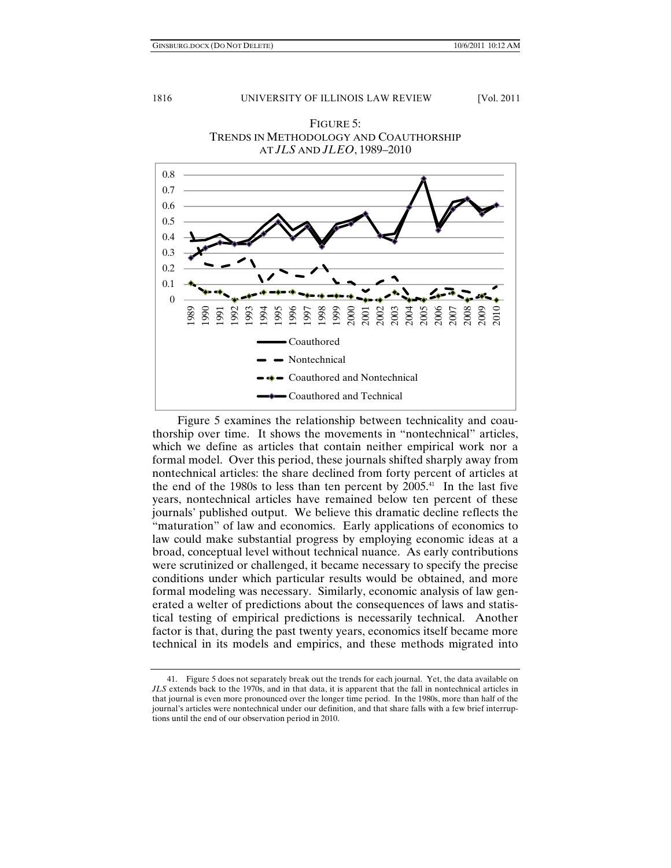

FIGURE 5: TRENDS IN METHODOLOGY AND COAUTHORSHIP AT *JLS* AND *JLEO*, 1989–2010

Figure 5 examines the relationship between technicality and coauthorship over time. It shows the movements in "nontechnical" articles, which we define as articles that contain neither empirical work nor a formal model. Over this period, these journals shifted sharply away from nontechnical articles: the share declined from forty percent of articles at the end of the 1980s to less than ten percent by  $2005<sup>41</sup>$  In the last five years, nontechnical articles have remained below ten percent of these journals' published output. We believe this dramatic decline reflects the "maturation" of law and economics. Early applications of economics to law could make substantial progress by employing economic ideas at a broad, conceptual level without technical nuance. As early contributions were scrutinized or challenged, it became necessary to specify the precise conditions under which particular results would be obtained, and more formal modeling was necessary. Similarly, economic analysis of law generated a welter of predictions about the consequences of laws and statistical testing of empirical predictions is necessarily technical. Another factor is that, during the past twenty years, economics itself became more technical in its models and empirics, and these methods migrated into

 <sup>41.</sup> Figure 5 does not separately break out the trends for each journal. Yet, the data available on *JLS* extends back to the 1970s, and in that data, it is apparent that the fall in nontechnical articles in that journal is even more pronounced over the longer time period. In the 1980s, more than half of the journal's articles were nontechnical under our definition, and that share falls with a few brief interruptions until the end of our observation period in 2010.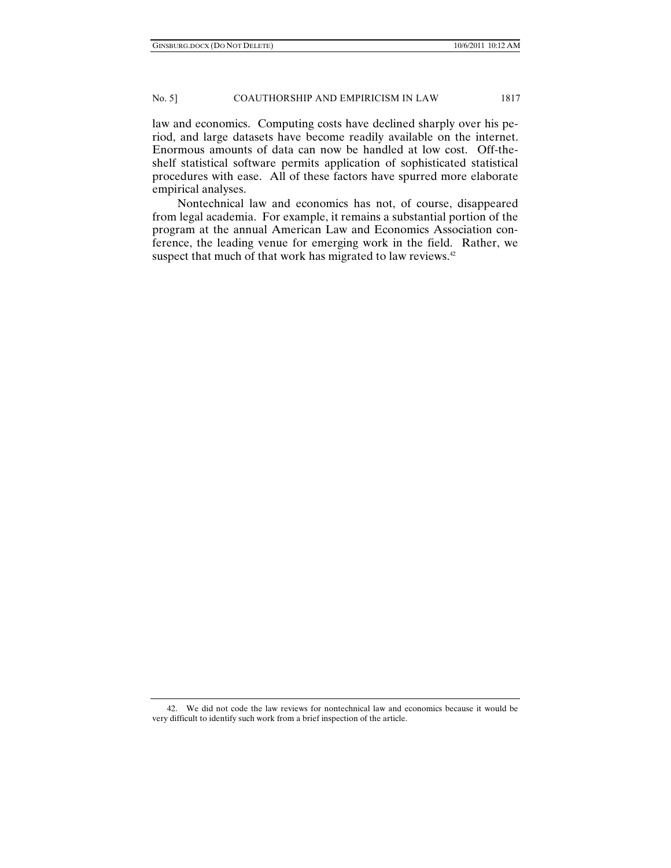law and economics. Computing costs have declined sharply over his period, and large datasets have become readily available on the internet. Enormous amounts of data can now be handled at low cost. Off-theshelf statistical software permits application of sophisticated statistical procedures with ease. All of these factors have spurred more elaborate empirical analyses.

Nontechnical law and economics has not, of course, disappeared from legal academia. For example, it remains a substantial portion of the program at the annual American Law and Economics Association conference, the leading venue for emerging work in the field. Rather, we suspect that much of that work has migrated to law reviews.<sup>42</sup>

 <sup>42.</sup> We did not code the law reviews for nontechnical law and economics because it would be very difficult to identify such work from a brief inspection of the article.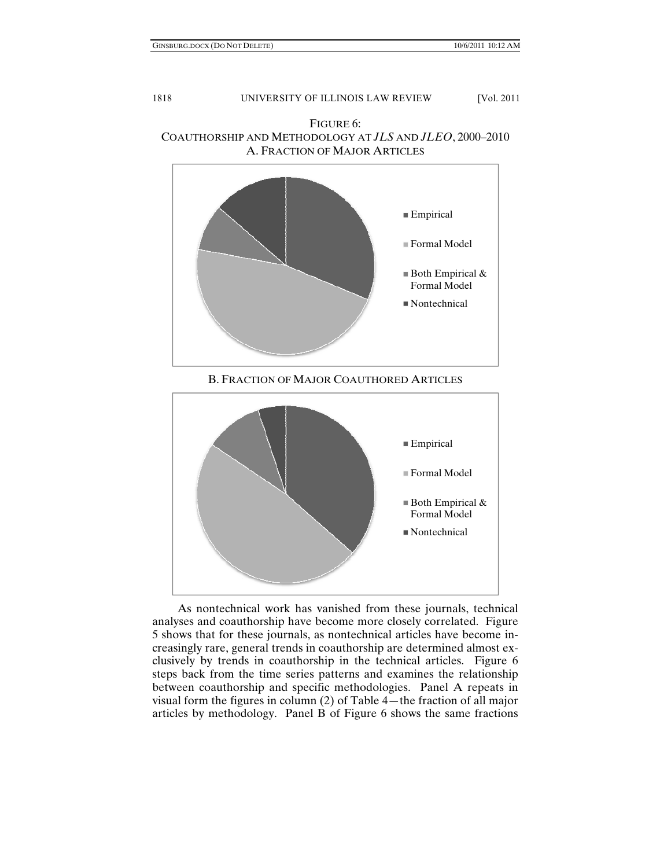$\blacksquare$  Both Empirical & Formal Model Nontechnical



FIGURE 6: COAUTHORSHIP AND METHODOLOGY AT *JLS* AND *JLEO*, 2000–2010 A. FRACTION OF MAJOR ARTICLES

As nontechnical work has vanished from these journals, technical analyses and coauthorship have become more closely correlated. Figure 5 shows that for these journals, as nontechnical articles have become increasingly rare, general trends in coauthorship are determined almost exclusively by trends in coauthorship in the technical articles. Figure 6 steps back from the time series patterns and examines the relationship between coauthorship and specific methodologies. Panel A repeats in visual form the figures in column (2) of Table 4—the fraction of all major articles by methodology. Panel B of Figure 6 shows the same fractions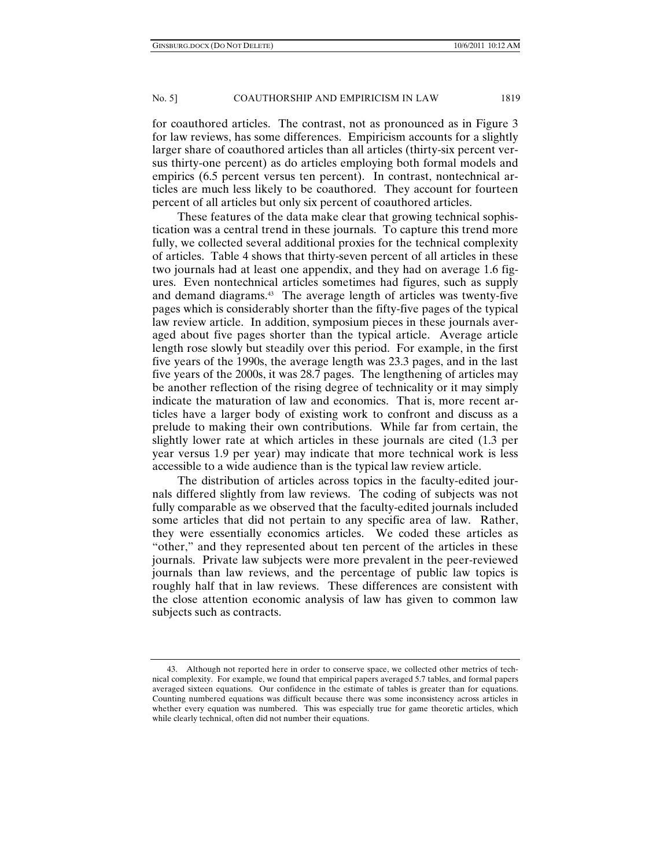for coauthored articles. The contrast, not as pronounced as in Figure 3 for law reviews, has some differences. Empiricism accounts for a slightly larger share of coauthored articles than all articles (thirty-six percent versus thirty-one percent) as do articles employing both formal models and empirics (6.5 percent versus ten percent). In contrast, nontechnical articles are much less likely to be coauthored. They account for fourteen percent of all articles but only six percent of coauthored articles.

These features of the data make clear that growing technical sophistication was a central trend in these journals. To capture this trend more fully, we collected several additional proxies for the technical complexity of articles. Table 4 shows that thirty-seven percent of all articles in these two journals had at least one appendix, and they had on average 1.6 figures. Even nontechnical articles sometimes had figures, such as supply and demand diagrams.<sup>43</sup> The average length of articles was twenty-five pages which is considerably shorter than the fifty-five pages of the typical law review article. In addition, symposium pieces in these journals averaged about five pages shorter than the typical article. Average article length rose slowly but steadily over this period. For example, in the first five years of the 1990s, the average length was 23.3 pages, and in the last five years of the 2000s, it was 28.7 pages. The lengthening of articles may be another reflection of the rising degree of technicality or it may simply indicate the maturation of law and economics. That is, more recent articles have a larger body of existing work to confront and discuss as a prelude to making their own contributions. While far from certain, the slightly lower rate at which articles in these journals are cited (1.3 per year versus 1.9 per year) may indicate that more technical work is less accessible to a wide audience than is the typical law review article.

The distribution of articles across topics in the faculty-edited journals differed slightly from law reviews. The coding of subjects was not fully comparable as we observed that the faculty-edited journals included some articles that did not pertain to any specific area of law. Rather, they were essentially economics articles. We coded these articles as "other," and they represented about ten percent of the articles in these journals. Private law subjects were more prevalent in the peer-reviewed journals than law reviews, and the percentage of public law topics is roughly half that in law reviews. These differences are consistent with the close attention economic analysis of law has given to common law subjects such as contracts.

 <sup>43.</sup> Although not reported here in order to conserve space, we collected other metrics of technical complexity. For example, we found that empirical papers averaged 5.7 tables, and formal papers averaged sixteen equations. Our confidence in the estimate of tables is greater than for equations. Counting numbered equations was difficult because there was some inconsistency across articles in whether every equation was numbered. This was especially true for game theoretic articles, which while clearly technical, often did not number their equations.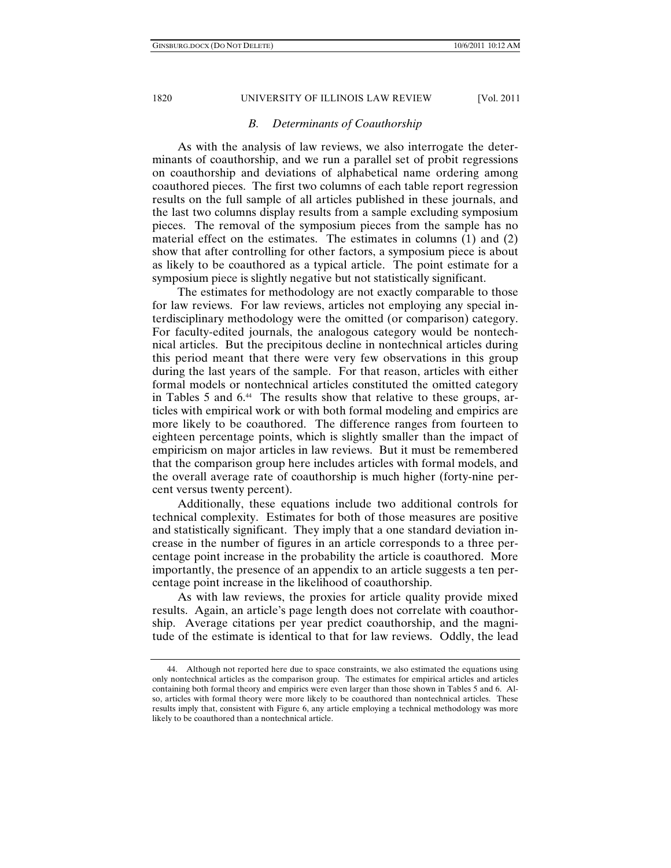## *B. Determinants of Coauthorship*

As with the analysis of law reviews, we also interrogate the determinants of coauthorship, and we run a parallel set of probit regressions on coauthorship and deviations of alphabetical name ordering among coauthored pieces. The first two columns of each table report regression results on the full sample of all articles published in these journals, and the last two columns display results from a sample excluding symposium pieces. The removal of the symposium pieces from the sample has no material effect on the estimates. The estimates in columns (1) and (2) show that after controlling for other factors, a symposium piece is about as likely to be coauthored as a typical article. The point estimate for a symposium piece is slightly negative but not statistically significant.

The estimates for methodology are not exactly comparable to those for law reviews. For law reviews, articles not employing any special interdisciplinary methodology were the omitted (or comparison) category. For faculty-edited journals, the analogous category would be nontechnical articles. But the precipitous decline in nontechnical articles during this period meant that there were very few observations in this group during the last years of the sample. For that reason, articles with either formal models or nontechnical articles constituted the omitted category in Tables 5 and 6.<sup>44</sup> The results show that relative to these groups, articles with empirical work or with both formal modeling and empirics are more likely to be coauthored. The difference ranges from fourteen to eighteen percentage points, which is slightly smaller than the impact of empiricism on major articles in law reviews. But it must be remembered that the comparison group here includes articles with formal models, and the overall average rate of coauthorship is much higher (forty-nine percent versus twenty percent).

Additionally, these equations include two additional controls for technical complexity. Estimates for both of those measures are positive and statistically significant. They imply that a one standard deviation increase in the number of figures in an article corresponds to a three percentage point increase in the probability the article is coauthored. More importantly, the presence of an appendix to an article suggests a ten percentage point increase in the likelihood of coauthorship.

As with law reviews, the proxies for article quality provide mixed results. Again, an article's page length does not correlate with coauthorship. Average citations per year predict coauthorship, and the magnitude of the estimate is identical to that for law reviews. Oddly, the lead

 <sup>44.</sup> Although not reported here due to space constraints, we also estimated the equations using only nontechnical articles as the comparison group. The estimates for empirical articles and articles containing both formal theory and empirics were even larger than those shown in Tables 5 and 6. Also, articles with formal theory were more likely to be coauthored than nontechnical articles. These results imply that, consistent with Figure 6, any article employing a technical methodology was more likely to be coauthored than a nontechnical article.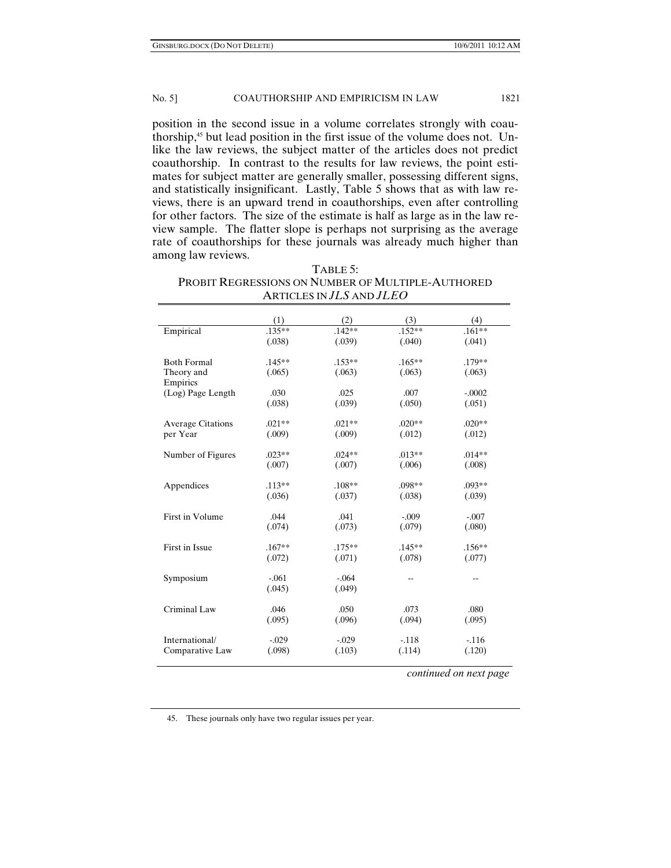position in the second issue in a volume correlates strongly with coauthorship,<sup>45</sup> but lead position in the first issue of the volume does not. Unlike the law reviews, the subject matter of the articles does not predict coauthorship. In contrast to the results for law reviews, the point estimates for subject matter are generally smaller, possessing different signs, and statistically insignificant. Lastly, Table 5 shows that as with law reviews, there is an upward trend in coauthorships, even after controlling for other factors. The size of the estimate is half as large as in the law review sample. The flatter slope is perhaps not surprising as the average rate of coauthorships for these journals was already much higher than among law reviews.

| . .<br>TABLE 5:                                   |
|---------------------------------------------------|
| PROBIT REGRESSIONS ON NUMBER OF MULTIPLE-AUTHORED |
| ARTICLES IN $JLS$ and $JLEO$                      |

|                          | (1)      | (2)      | (3)      | (4)                    |
|--------------------------|----------|----------|----------|------------------------|
| Empirical                | $.135**$ | $.142**$ | $.152**$ | $.161**$               |
|                          | (.038)   | (.039)   | (.040)   | (.041)                 |
| <b>Both Formal</b>       | $.145**$ | $.153**$ | $.165**$ | .179**                 |
| Theory and<br>Empirics   | (.065)   | (.063)   | (.063)   | (.063)                 |
| (Log) Page Length        | .030     | .025     | .007     | $-.0002$               |
|                          | (.038)   | (.039)   | (.050)   | (.051)                 |
| <b>Average Citations</b> | $.021**$ | $.021**$ | $.020**$ | $.020**$               |
| per Year                 | (.009)   | (.009)   | (.012)   | (.012)                 |
| Number of Figures        | $.023**$ | $.024**$ | $.013**$ | $.014**$               |
|                          | (.007)   | (.007)   | (.006)   | (.008)                 |
| Appendices               | $.113**$ | $.108**$ | .098**   | $.093**$               |
|                          | (.036)   | (.037)   | (.038)   | (.039)                 |
| First in Volume          | .044     | .041     | $-.009$  | $-.007$                |
|                          | (.074)   | (.073)   | (.079)   | (.080)                 |
| First in Issue           | $.167**$ | $.175**$ | $.145**$ | $.156**$               |
|                          | (.072)   | (.071)   | (.078)   | (.077)                 |
| Symposium                | $-.061$  | $-.064$  |          |                        |
|                          | (.045)   | (.049)   |          |                        |
| Criminal Law             | .046     | .050     | .073     | .080                   |
|                          | (.095)   | (.096)   | (.094)   | (.095)                 |
| International/           | $-.029$  | $-.029$  | $-.118$  | $-116$                 |
| Comparative Law          | (.098)   | (.103)   | (.114)   | (.120)                 |
|                          |          |          |          | continued on next page |

45. These journals only have two regular issues per year.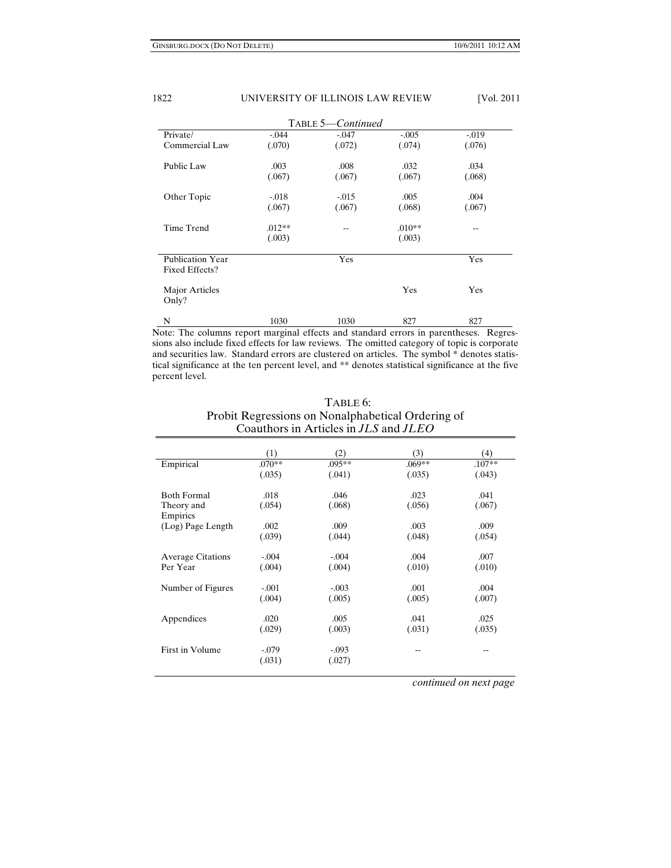|                                           | TABLE 5-Continued |         |          |         |  |  |
|-------------------------------------------|-------------------|---------|----------|---------|--|--|
| Private/                                  | $-.044$           | $-.047$ | $-.005$  | $-.019$ |  |  |
| Commercial Law                            | (.070)            | (.072)  | (.074)   | (.076)  |  |  |
| Public Law                                | .003              | .008    | .032     | .034    |  |  |
|                                           | (.067)            | (.067)  | (.067)   | (.068)  |  |  |
| Other Topic                               | $-.018$           | $-.015$ | .005     | .004    |  |  |
|                                           | (.067)            | (.067)  | (.068)   | (.067)  |  |  |
| Time Trend                                | $.012**$          |         | $.010**$ | --      |  |  |
|                                           | (.003)            |         | (.003)   |         |  |  |
| <b>Publication Year</b><br>Fixed Effects? |                   | Yes     |          | Yes     |  |  |
| Major Articles<br>Only?                   |                   |         | Yes      | Yes     |  |  |
| N                                         | 1030              | 1030    | 827      | 827     |  |  |

Note: The columns report marginal effects and standard errors in parentheses. Regressions also include fixed effects for law reviews. The omitted category of topic is corporate and securities law. Standard errors are clustered on articles. The symbol \* denotes statistical significance at the ten percent level, and \*\* denotes statistical significance at the five percent level.

| TABLE 6:                                            |
|-----------------------------------------------------|
| Probit Regressions on Nonalphabetical Ordering of   |
| Coauthors in Articles in <i>JLS</i> and <i>JLEO</i> |

|                          | (1)      | (2)     | (3)    | (4)      |
|--------------------------|----------|---------|--------|----------|
|                          |          |         | .069** |          |
| Empirical                | $.070**$ | .095**  |        | $.107**$ |
|                          | (.035)   | (.041)  | (.035) | (.043)   |
|                          |          |         |        |          |
| <b>Both Formal</b>       | .018     | .046    | .023   | .041     |
| Theory and               | (.054)   | (.068)  | (.056) | (.067)   |
| Empirics                 |          |         |        |          |
| (Log) Page Length        | .002     | .009    | .003   | .009     |
|                          | (.039)   | (.044)  | (.048) | (.054)   |
|                          |          |         |        |          |
| <b>Average Citations</b> | $-.004$  | $-.004$ | .004   | .007     |
| Per Year                 | (.004)   | (.004)  | (.010) | (.010)   |
|                          |          |         |        |          |
| Number of Figures        | $-.001$  | $-.003$ | .001   | .004     |
|                          | (.004)   | (.005)  | (.005) | (.007)   |
|                          |          |         |        |          |
| Appendices               | .020     | .005    | .041   | .025     |
|                          | (.029)   | (.003)  | (.031) | (.035)   |
|                          |          |         |        |          |
| First in Volume          | $-.079$  | $-.093$ | --     |          |
|                          | (.031)   | (.027)  |        |          |
|                          |          |         |        |          |

 *continued on next page*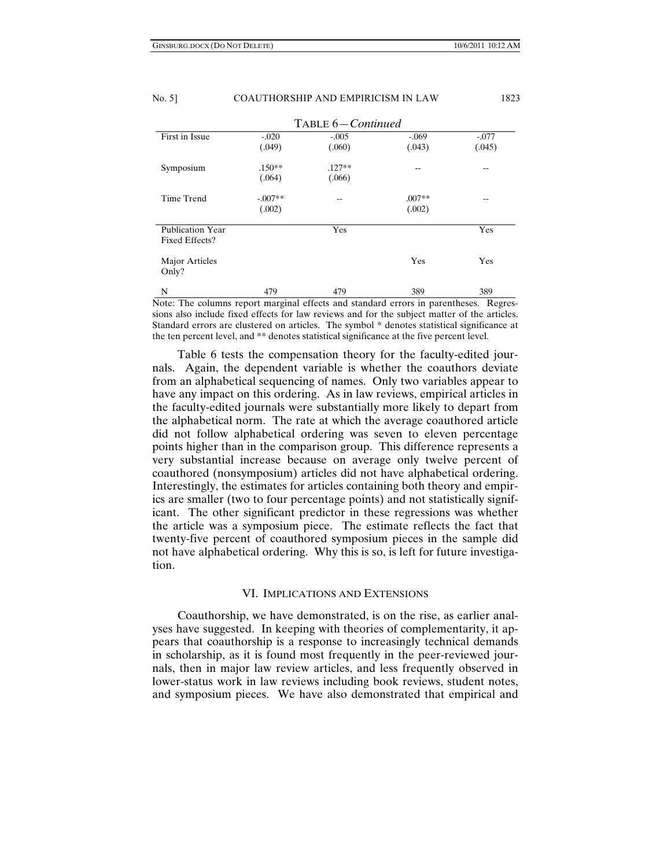| TABLE 6-Continued                         |           |          |          |         |
|-------------------------------------------|-----------|----------|----------|---------|
| First in Issue                            | $-.020$   | $-.005$  | $-.069$  | $-.077$ |
|                                           | (.049)    | (.060)   | (.043)   | (.045)  |
| Symposium                                 | $.150**$  | $.127**$ | --       | --      |
|                                           | (.064)    | (.066)   |          |         |
| Time Trend                                | $-.007**$ | --       | $.007**$ | $ -$    |
|                                           | (.002)    |          | (.002)   |         |
| <b>Publication Year</b><br>Fixed Effects? |           | Yes      |          | Yes     |
| Major Articles<br>Only?                   |           |          | Yes      | Yes     |
| N                                         | 479       | 479      | 389      | 389     |

Note: The columns report marginal effects and standard errors in parentheses. Regressions also include fixed effects for law reviews and for the subject matter of the articles. Standard errors are clustered on articles. The symbol \* denotes statistical significance at the ten percent level, and \*\* denotes statistical significance at the five percent level.

Table 6 tests the compensation theory for the faculty-edited journals. Again, the dependent variable is whether the coauthors deviate from an alphabetical sequencing of names. Only two variables appear to have any impact on this ordering. As in law reviews, empirical articles in the faculty-edited journals were substantially more likely to depart from the alphabetical norm. The rate at which the average coauthored article did not follow alphabetical ordering was seven to eleven percentage points higher than in the comparison group. This difference represents a very substantial increase because on average only twelve percent of coauthored (nonsymposium) articles did not have alphabetical ordering. Interestingly, the estimates for articles containing both theory and empirics are smaller (two to four percentage points) and not statistically significant. The other significant predictor in these regressions was whether the article was a symposium piece. The estimate reflects the fact that twenty-five percent of coauthored symposium pieces in the sample did not have alphabetical ordering. Why this is so, is left for future investigation.

### VI. IMPLICATIONS AND EXTENSIONS

Coauthorship, we have demonstrated, is on the rise, as earlier analyses have suggested. In keeping with theories of complementarity, it appears that coauthorship is a response to increasingly technical demands in scholarship, as it is found most frequently in the peer-reviewed journals, then in major law review articles, and less frequently observed in lower-status work in law reviews including book reviews, student notes, and symposium pieces. We have also demonstrated that empirical and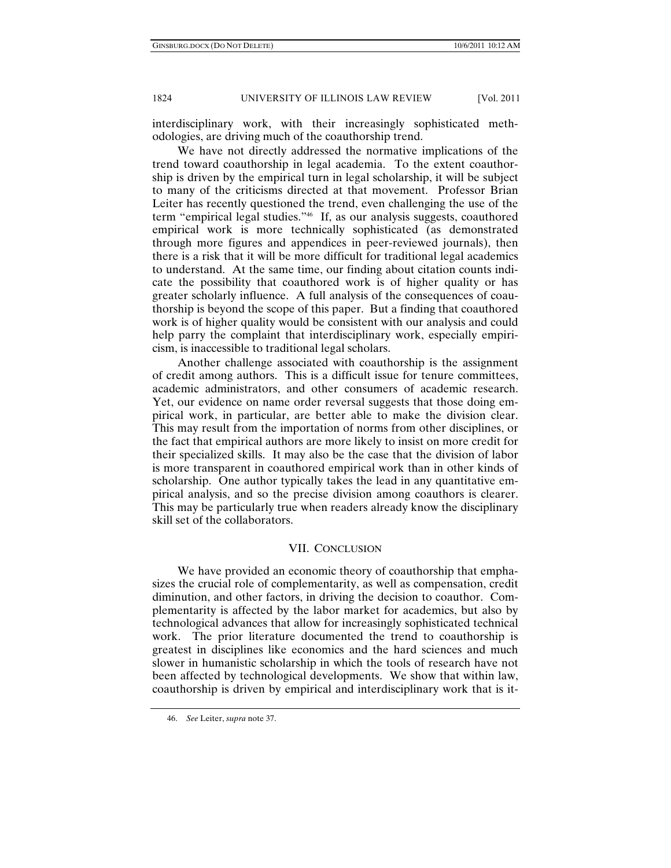interdisciplinary work, with their increasingly sophisticated methodologies, are driving much of the coauthorship trend.

We have not directly addressed the normative implications of the trend toward coauthorship in legal academia. To the extent coauthorship is driven by the empirical turn in legal scholarship, it will be subject to many of the criticisms directed at that movement. Professor Brian Leiter has recently questioned the trend, even challenging the use of the term "empirical legal studies."46 If, as our analysis suggests, coauthored empirical work is more technically sophisticated (as demonstrated through more figures and appendices in peer-reviewed journals), then there is a risk that it will be more difficult for traditional legal academics to understand. At the same time, our finding about citation counts indicate the possibility that coauthored work is of higher quality or has greater scholarly influence. A full analysis of the consequences of coauthorship is beyond the scope of this paper. But a finding that coauthored work is of higher quality would be consistent with our analysis and could help parry the complaint that interdisciplinary work, especially empiricism, is inaccessible to traditional legal scholars.

Another challenge associated with coauthorship is the assignment of credit among authors. This is a difficult issue for tenure committees, academic administrators, and other consumers of academic research. Yet, our evidence on name order reversal suggests that those doing empirical work, in particular, are better able to make the division clear. This may result from the importation of norms from other disciplines, or the fact that empirical authors are more likely to insist on more credit for their specialized skills. It may also be the case that the division of labor is more transparent in coauthored empirical work than in other kinds of scholarship. One author typically takes the lead in any quantitative empirical analysis, and so the precise division among coauthors is clearer. This may be particularly true when readers already know the disciplinary skill set of the collaborators.

## VII. CONCLUSION

We have provided an economic theory of coauthorship that emphasizes the crucial role of complementarity, as well as compensation, credit diminution, and other factors, in driving the decision to coauthor. Complementarity is affected by the labor market for academics, but also by technological advances that allow for increasingly sophisticated technical work. The prior literature documented the trend to coauthorship is greatest in disciplines like economics and the hard sciences and much slower in humanistic scholarship in which the tools of research have not been affected by technological developments. We show that within law, coauthorship is driven by empirical and interdisciplinary work that is it-

 <sup>46.</sup> *See* Leiter, *supra* note 37.